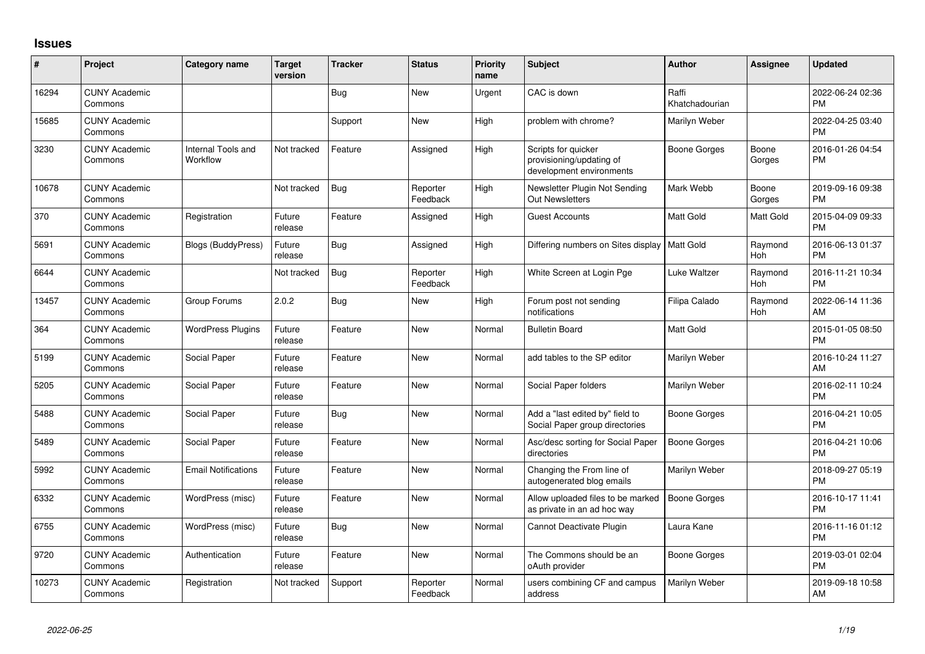## **Issues**

| #     | Project                         | <b>Category name</b>           | <b>Target</b><br>version | <b>Tracker</b> | <b>Status</b>        | <b>Priority</b><br>name | Subject                                                                     | <b>Author</b>           | Assignee              | Updated                       |
|-------|---------------------------------|--------------------------------|--------------------------|----------------|----------------------|-------------------------|-----------------------------------------------------------------------------|-------------------------|-----------------------|-------------------------------|
| 16294 | <b>CUNY Academic</b><br>Commons |                                |                          | <b>Bug</b>     | <b>New</b>           | Urgent                  | CAC is down                                                                 | Raffi<br>Khatchadourian |                       | 2022-06-24 02:36<br><b>PM</b> |
| 15685 | <b>CUNY Academic</b><br>Commons |                                |                          | Support        | <b>New</b>           | High                    | problem with chrome?                                                        | Marilyn Weber           |                       | 2022-04-25 03:40<br><b>PM</b> |
| 3230  | <b>CUNY Academic</b><br>Commons | Internal Tools and<br>Workflow | Not tracked              | Feature        | Assigned             | High                    | Scripts for quicker<br>provisioning/updating of<br>development environments | <b>Boone Gorges</b>     | Boone<br>Gorges       | 2016-01-26 04:54<br><b>PM</b> |
| 10678 | <b>CUNY Academic</b><br>Commons |                                | Not tracked              | <b>Bug</b>     | Reporter<br>Feedback | High                    | Newsletter Plugin Not Sending<br><b>Out Newsletters</b>                     | Mark Webb               | Boone<br>Gorges       | 2019-09-16 09:38<br><b>PM</b> |
| 370   | <b>CUNY Academic</b><br>Commons | Registration                   | Future<br>release        | Feature        | Assigned             | High                    | <b>Guest Accounts</b>                                                       | Matt Gold               | Matt Gold             | 2015-04-09 09:33<br>PM        |
| 5691  | <b>CUNY Academic</b><br>Commons | <b>Blogs (BuddyPress)</b>      | Future<br>release        | <b>Bug</b>     | Assigned             | High                    | Differing numbers on Sites display                                          | Matt Gold               | Raymond<br>Hoh        | 2016-06-13 01:37<br>PM        |
| 6644  | <b>CUNY Academic</b><br>Commons |                                | Not tracked              | <b>Bug</b>     | Reporter<br>Feedback | High                    | White Screen at Login Pge                                                   | Luke Waltzer            | Raymond<br>Hoh        | 2016-11-21 10:34<br><b>PM</b> |
| 13457 | <b>CUNY Academic</b><br>Commons | Group Forums                   | 2.0.2                    | <b>Bug</b>     | New                  | High                    | Forum post not sending<br>notifications                                     | Filipa Calado           | Raymond<br><b>Hoh</b> | 2022-06-14 11:36<br>AM        |
| 364   | <b>CUNY Academic</b><br>Commons | <b>WordPress Plugins</b>       | Future<br>release        | Feature        | <b>New</b>           | Normal                  | <b>Bulletin Board</b>                                                       | Matt Gold               |                       | 2015-01-05 08:50<br>PM        |
| 5199  | <b>CUNY Academic</b><br>Commons | Social Paper                   | Future<br>release        | Feature        | <b>New</b>           | Normal                  | add tables to the SP editor                                                 | Marilyn Weber           |                       | 2016-10-24 11:27<br>AM        |
| 5205  | <b>CUNY Academic</b><br>Commons | Social Paper                   | Future<br>release        | Feature        | <b>New</b>           | Normal                  | Social Paper folders                                                        | Marilyn Weber           |                       | 2016-02-11 10:24<br>PM        |
| 5488  | <b>CUNY Academic</b><br>Commons | Social Paper                   | Future<br>release        | <b>Bug</b>     | <b>New</b>           | Normal                  | Add a "last edited by" field to<br>Social Paper group directories           | <b>Boone Gorges</b>     |                       | 2016-04-21 10:05<br>PМ        |
| 5489  | <b>CUNY Academic</b><br>Commons | Social Paper                   | Future<br>release        | Feature        | <b>New</b>           | Normal                  | Asc/desc sorting for Social Paper<br>directories                            | <b>Boone Gorges</b>     |                       | 2016-04-21 10:06<br><b>PM</b> |
| 5992  | <b>CUNY Academic</b><br>Commons | <b>Email Notifications</b>     | Future<br>release        | Feature        | <b>New</b>           | Normal                  | Changing the From line of<br>autogenerated blog emails                      | Marilyn Weber           |                       | 2018-09-27 05:19<br><b>PM</b> |
| 6332  | <b>CUNY Academic</b><br>Commons | WordPress (misc)               | Future<br>release        | Feature        | <b>New</b>           | Normal                  | Allow uploaded files to be marked<br>as private in an ad hoc way            | <b>Boone Gorges</b>     |                       | 2016-10-17 11:41<br><b>PM</b> |
| 6755  | <b>CUNY Academic</b><br>Commons | WordPress (misc)               | Future<br>release        | <b>Bug</b>     | New                  | Normal                  | Cannot Deactivate Plugin                                                    | Laura Kane              |                       | 2016-11-16 01:12<br><b>PM</b> |
| 9720  | <b>CUNY Academic</b><br>Commons | Authentication                 | Future<br>release        | Feature        | New                  | Normal                  | The Commons should be an<br>oAuth provider                                  | <b>Boone Gorges</b>     |                       | 2019-03-01 02:04<br><b>PM</b> |
| 10273 | <b>CUNY Academic</b><br>Commons | Registration                   | Not tracked              | Support        | Reporter<br>Feedback | Normal                  | users combining CF and campus<br>address                                    | Marilyn Weber           |                       | 2019-09-18 10:58<br>AM        |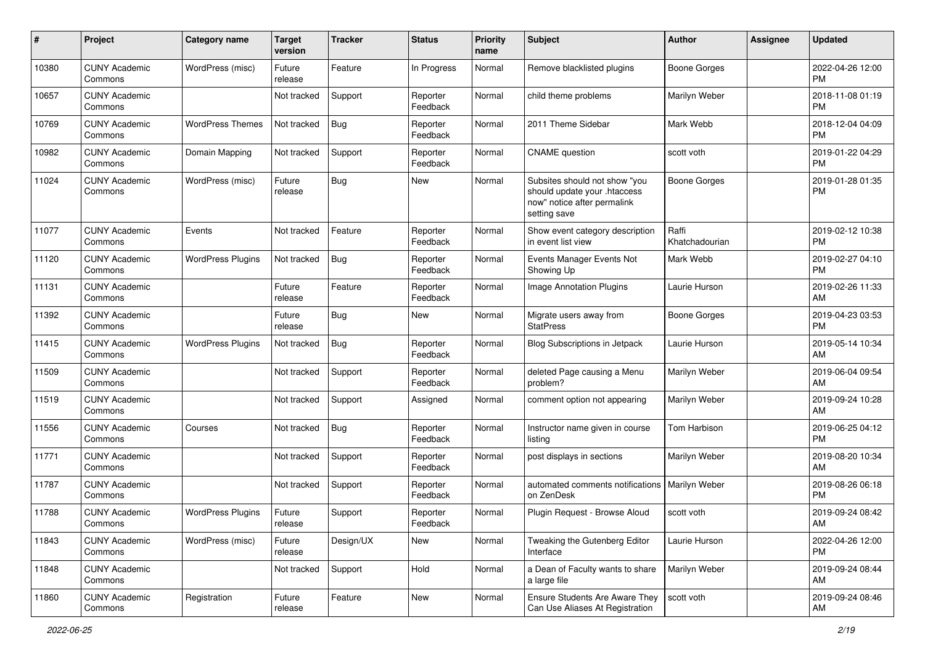| #     | Project                         | <b>Category name</b>     | <b>Target</b><br>version | <b>Tracker</b> | <b>Status</b>        | <b>Priority</b><br>name | <b>Subject</b>                                                                                               | <b>Author</b>           | <b>Assignee</b> | <b>Updated</b>                |
|-------|---------------------------------|--------------------------|--------------------------|----------------|----------------------|-------------------------|--------------------------------------------------------------------------------------------------------------|-------------------------|-----------------|-------------------------------|
| 10380 | <b>CUNY Academic</b><br>Commons | WordPress (misc)         | Future<br>release        | Feature        | In Progress          | Normal                  | Remove blacklisted plugins                                                                                   | <b>Boone Gorges</b>     |                 | 2022-04-26 12:00<br><b>PM</b> |
| 10657 | <b>CUNY Academic</b><br>Commons |                          | Not tracked              | Support        | Reporter<br>Feedback | Normal                  | child theme problems                                                                                         | Marilyn Weber           |                 | 2018-11-08 01:19<br><b>PM</b> |
| 10769 | <b>CUNY Academic</b><br>Commons | <b>WordPress Themes</b>  | Not tracked              | <b>Bug</b>     | Reporter<br>Feedback | Normal                  | 2011 Theme Sidebar                                                                                           | Mark Webb               |                 | 2018-12-04 04:09<br><b>PM</b> |
| 10982 | <b>CUNY Academic</b><br>Commons | Domain Mapping           | Not tracked              | Support        | Reporter<br>Feedback | Normal                  | <b>CNAME</b> question                                                                                        | scott voth              |                 | 2019-01-22 04:29<br><b>PM</b> |
| 11024 | <b>CUNY Academic</b><br>Commons | WordPress (misc)         | Future<br>release        | Bug            | New                  | Normal                  | Subsites should not show "you<br>should update your .htaccess<br>now" notice after permalink<br>setting save | <b>Boone Gorges</b>     |                 | 2019-01-28 01:35<br><b>PM</b> |
| 11077 | <b>CUNY Academic</b><br>Commons | Events                   | Not tracked              | Feature        | Reporter<br>Feedback | Normal                  | Show event category description<br>in event list view                                                        | Raffi<br>Khatchadourian |                 | 2019-02-12 10:38<br><b>PM</b> |
| 11120 | <b>CUNY Academic</b><br>Commons | <b>WordPress Plugins</b> | Not tracked              | <b>Bug</b>     | Reporter<br>Feedback | Normal                  | Events Manager Events Not<br>Showing Up                                                                      | Mark Webb               |                 | 2019-02-27 04:10<br><b>PM</b> |
| 11131 | <b>CUNY Academic</b><br>Commons |                          | Future<br>release        | Feature        | Reporter<br>Feedback | Normal                  | Image Annotation Plugins                                                                                     | Laurie Hurson           |                 | 2019-02-26 11:33<br>AM        |
| 11392 | <b>CUNY Academic</b><br>Commons |                          | Future<br>release        | Bug            | New                  | Normal                  | Migrate users away from<br><b>StatPress</b>                                                                  | <b>Boone Gorges</b>     |                 | 2019-04-23 03:53<br><b>PM</b> |
| 11415 | <b>CUNY Academic</b><br>Commons | <b>WordPress Plugins</b> | Not tracked              | <b>Bug</b>     | Reporter<br>Feedback | Normal                  | Blog Subscriptions in Jetpack                                                                                | Laurie Hurson           |                 | 2019-05-14 10:34<br>AM        |
| 11509 | <b>CUNY Academic</b><br>Commons |                          | Not tracked              | Support        | Reporter<br>Feedback | Normal                  | deleted Page causing a Menu<br>problem?                                                                      | Marilyn Weber           |                 | 2019-06-04 09:54<br>AM        |
| 11519 | <b>CUNY Academic</b><br>Commons |                          | Not tracked              | Support        | Assigned             | Normal                  | comment option not appearing                                                                                 | Marilyn Weber           |                 | 2019-09-24 10:28<br>AM        |
| 11556 | <b>CUNY Academic</b><br>Commons | Courses                  | Not tracked              | <b>Bug</b>     | Reporter<br>Feedback | Normal                  | Instructor name given in course<br>listing                                                                   | Tom Harbison            |                 | 2019-06-25 04:12<br><b>PM</b> |
| 11771 | <b>CUNY Academic</b><br>Commons |                          | Not tracked              | Support        | Reporter<br>Feedback | Normal                  | post displays in sections                                                                                    | Marilyn Weber           |                 | 2019-08-20 10:34<br>AM        |
| 11787 | <b>CUNY Academic</b><br>Commons |                          | Not tracked              | Support        | Reporter<br>Feedback | Normal                  | automated comments notifications   Marilyn Weber<br>on ZenDesk                                               |                         |                 | 2019-08-26 06:18<br><b>PM</b> |
| 11788 | <b>CUNY Academic</b><br>Commons | <b>WordPress Plugins</b> | Future<br>release        | Support        | Reporter<br>Feedback | Normal                  | Plugin Request - Browse Aloud                                                                                | scott voth              |                 | 2019-09-24 08:42<br>AM        |
| 11843 | <b>CUNY Academic</b><br>Commons | WordPress (misc)         | Future<br>release        | Design/UX      | New                  | Normal                  | Tweaking the Gutenberg Editor<br>Interface                                                                   | Laurie Hurson           |                 | 2022-04-26 12:00<br>PM        |
| 11848 | <b>CUNY Academic</b><br>Commons |                          | Not tracked              | Support        | Hold                 | Normal                  | a Dean of Faculty wants to share<br>a large file                                                             | Marilyn Weber           |                 | 2019-09-24 08:44<br>AM        |
| 11860 | <b>CUNY Academic</b><br>Commons | Registration             | Future<br>release        | Feature        | New                  | Normal                  | Ensure Students Are Aware They<br>Can Use Aliases At Registration                                            | scott voth              |                 | 2019-09-24 08:46<br>AM        |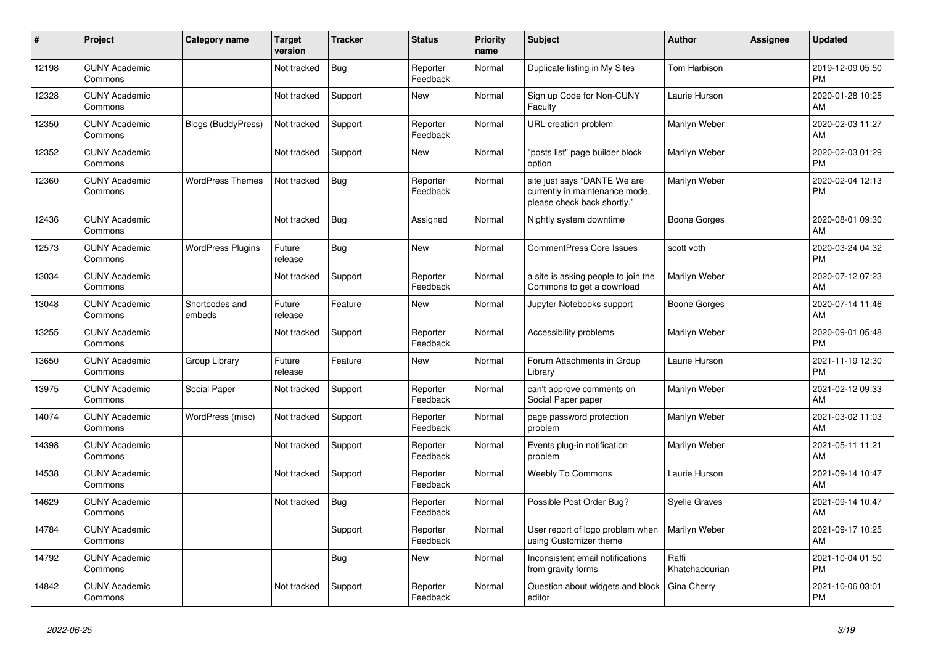| #     | Project                         | <b>Category name</b>      | <b>Target</b><br>version | <b>Tracker</b> | <b>Status</b>        | <b>Priority</b><br>name | <b>Subject</b>                                                                                | <b>Author</b>           | <b>Assignee</b> | <b>Updated</b>                |
|-------|---------------------------------|---------------------------|--------------------------|----------------|----------------------|-------------------------|-----------------------------------------------------------------------------------------------|-------------------------|-----------------|-------------------------------|
| 12198 | <b>CUNY Academic</b><br>Commons |                           | Not tracked              | <b>Bug</b>     | Reporter<br>Feedback | Normal                  | Duplicate listing in My Sites                                                                 | Tom Harbison            |                 | 2019-12-09 05:50<br><b>PM</b> |
| 12328 | <b>CUNY Academic</b><br>Commons |                           | Not tracked              | Support        | <b>New</b>           | Normal                  | Sign up Code for Non-CUNY<br>Faculty                                                          | Laurie Hurson           |                 | 2020-01-28 10:25<br>AM        |
| 12350 | <b>CUNY Academic</b><br>Commons | <b>Blogs (BuddyPress)</b> | Not tracked              | Support        | Reporter<br>Feedback | Normal                  | URL creation problem                                                                          | Marilyn Weber           |                 | 2020-02-03 11:27<br>AM        |
| 12352 | <b>CUNY Academic</b><br>Commons |                           | Not tracked              | Support        | <b>New</b>           | Normal                  | 'posts list" page builder block<br>option                                                     | Marilyn Weber           |                 | 2020-02-03 01:29<br><b>PM</b> |
| 12360 | <b>CUNY Academic</b><br>Commons | <b>WordPress Themes</b>   | Not tracked              | Bug            | Reporter<br>Feedback | Normal                  | site just says "DANTE We are<br>currently in maintenance mode,<br>please check back shortly." | Marilyn Weber           |                 | 2020-02-04 12:13<br><b>PM</b> |
| 12436 | <b>CUNY Academic</b><br>Commons |                           | Not tracked              | Bug            | Assigned             | Normal                  | Nightly system downtime                                                                       | <b>Boone Gorges</b>     |                 | 2020-08-01 09:30<br>AM        |
| 12573 | <b>CUNY Academic</b><br>Commons | <b>WordPress Plugins</b>  | Future<br>release        | <b>Bug</b>     | New                  | Normal                  | <b>CommentPress Core Issues</b>                                                               | scott voth              |                 | 2020-03-24 04:32<br><b>PM</b> |
| 13034 | <b>CUNY Academic</b><br>Commons |                           | Not tracked              | Support        | Reporter<br>Feedback | Normal                  | a site is asking people to join the<br>Commons to get a download                              | Marilyn Weber           |                 | 2020-07-12 07:23<br>AM        |
| 13048 | <b>CUNY Academic</b><br>Commons | Shortcodes and<br>embeds  | Future<br>release        | Feature        | New                  | Normal                  | Jupyter Notebooks support                                                                     | <b>Boone Gorges</b>     |                 | 2020-07-14 11:46<br>AM        |
| 13255 | <b>CUNY Academic</b><br>Commons |                           | Not tracked              | Support        | Reporter<br>Feedback | Normal                  | Accessibility problems                                                                        | Marilyn Weber           |                 | 2020-09-01 05:48<br><b>PM</b> |
| 13650 | <b>CUNY Academic</b><br>Commons | Group Library             | Future<br>release        | Feature        | New                  | Normal                  | Forum Attachments in Group<br>Library                                                         | Laurie Hurson           |                 | 2021-11-19 12:30<br><b>PM</b> |
| 13975 | <b>CUNY Academic</b><br>Commons | Social Paper              | Not tracked              | Support        | Reporter<br>Feedback | Normal                  | can't approve comments on<br>Social Paper paper                                               | Marilyn Weber           |                 | 2021-02-12 09:33<br>AM        |
| 14074 | <b>CUNY Academic</b><br>Commons | WordPress (misc)          | Not tracked              | Support        | Reporter<br>Feedback | Normal                  | page password protection<br>problem                                                           | Marilyn Weber           |                 | 2021-03-02 11:03<br>AM        |
| 14398 | <b>CUNY Academic</b><br>Commons |                           | Not tracked              | Support        | Reporter<br>Feedback | Normal                  | Events plug-in notification<br>problem                                                        | Marilyn Weber           |                 | 2021-05-11 11:21<br>AM        |
| 14538 | <b>CUNY Academic</b><br>Commons |                           | Not tracked              | Support        | Reporter<br>Feedback | Normal                  | <b>Weebly To Commons</b>                                                                      | Laurie Hurson           |                 | 2021-09-14 10:47<br>AM        |
| 14629 | <b>CUNY Academic</b><br>Commons |                           | Not tracked              | Bug            | Reporter<br>Feedback | Normal                  | Possible Post Order Bug?                                                                      | <b>Syelle Graves</b>    |                 | 2021-09-14 10:47<br>AM        |
| 14784 | <b>CUNY Academic</b><br>Commons |                           |                          | Support        | Reporter<br>Feedback | Normal                  | User report of logo problem when<br>using Customizer theme                                    | Marilyn Weber           |                 | 2021-09-17 10:25<br>AM        |
| 14792 | <b>CUNY Academic</b><br>Commons |                           |                          | Bug            | New                  | Normal                  | Inconsistent email notifications<br>from gravity forms                                        | Raffi<br>Khatchadourian |                 | 2021-10-04 01:50<br><b>PM</b> |
| 14842 | <b>CUNY Academic</b><br>Commons |                           | Not tracked              | Support        | Reporter<br>Feedback | Normal                  | Question about widgets and block<br>editor                                                    | Gina Cherry             |                 | 2021-10-06 03:01<br><b>PM</b> |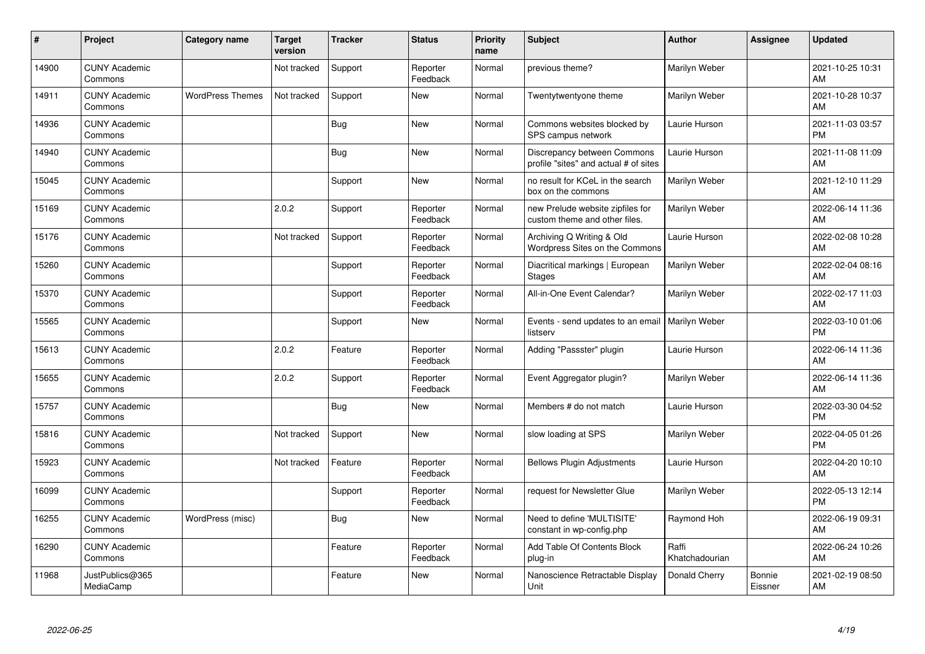| #     | Project                         | <b>Category name</b>    | <b>Target</b><br>version | <b>Tracker</b> | <b>Status</b>        | <b>Priority</b><br>name | <b>Subject</b>                                                       | <b>Author</b>           | <b>Assignee</b>   | <b>Updated</b>                |
|-------|---------------------------------|-------------------------|--------------------------|----------------|----------------------|-------------------------|----------------------------------------------------------------------|-------------------------|-------------------|-------------------------------|
| 14900 | <b>CUNY Academic</b><br>Commons |                         | Not tracked              | Support        | Reporter<br>Feedback | Normal                  | previous theme?                                                      | Marilyn Weber           |                   | 2021-10-25 10:31<br>AM        |
| 14911 | <b>CUNY Academic</b><br>Commons | <b>WordPress Themes</b> | Not tracked              | Support        | <b>New</b>           | Normal                  | Twentytwentyone theme                                                | Marilyn Weber           |                   | 2021-10-28 10:37<br>AM        |
| 14936 | <b>CUNY Academic</b><br>Commons |                         |                          | <b>Bug</b>     | <b>New</b>           | Normal                  | Commons websites blocked by<br>SPS campus network                    | Laurie Hurson           |                   | 2021-11-03 03:57<br><b>PM</b> |
| 14940 | <b>CUNY Academic</b><br>Commons |                         |                          | <b>Bug</b>     | <b>New</b>           | Normal                  | Discrepancy between Commons<br>profile "sites" and actual # of sites | Laurie Hurson           |                   | 2021-11-08 11:09<br>AM        |
| 15045 | <b>CUNY Academic</b><br>Commons |                         |                          | Support        | <b>New</b>           | Normal                  | no result for KCeL in the search<br>box on the commons               | Marilyn Weber           |                   | 2021-12-10 11:29<br>AM        |
| 15169 | <b>CUNY Academic</b><br>Commons |                         | 2.0.2                    | Support        | Reporter<br>Feedback | Normal                  | new Prelude website zipfiles for<br>custom theme and other files.    | Marilyn Weber           |                   | 2022-06-14 11:36<br>AM        |
| 15176 | <b>CUNY Academic</b><br>Commons |                         | Not tracked              | Support        | Reporter<br>Feedback | Normal                  | Archiving Q Writing & Old<br>Wordpress Sites on the Commons          | Laurie Hurson           |                   | 2022-02-08 10:28<br>AM        |
| 15260 | <b>CUNY Academic</b><br>Commons |                         |                          | Support        | Reporter<br>Feedback | Normal                  | Diacritical markings   European<br><b>Stages</b>                     | Marilyn Weber           |                   | 2022-02-04 08:16<br>AM        |
| 15370 | <b>CUNY Academic</b><br>Commons |                         |                          | Support        | Reporter<br>Feedback | Normal                  | All-in-One Event Calendar?                                           | Marilyn Weber           |                   | 2022-02-17 11:03<br>AM        |
| 15565 | <b>CUNY Academic</b><br>Commons |                         |                          | Support        | <b>New</b>           | Normal                  | Events - send updates to an email<br>listserv                        | Marilyn Weber           |                   | 2022-03-10 01:06<br><b>PM</b> |
| 15613 | <b>CUNY Academic</b><br>Commons |                         | 2.0.2                    | Feature        | Reporter<br>Feedback | Normal                  | Adding "Passster" plugin                                             | Laurie Hurson           |                   | 2022-06-14 11:36<br>AM        |
| 15655 | <b>CUNY Academic</b><br>Commons |                         | 2.0.2                    | Support        | Reporter<br>Feedback | Normal                  | Event Aggregator plugin?                                             | Marilyn Weber           |                   | 2022-06-14 11:36<br>AM        |
| 15757 | <b>CUNY Academic</b><br>Commons |                         |                          | <b>Bug</b>     | New                  | Normal                  | Members # do not match                                               | Laurie Hurson           |                   | 2022-03-30 04:52<br>PM        |
| 15816 | <b>CUNY Academic</b><br>Commons |                         | Not tracked              | Support        | <b>New</b>           | Normal                  | slow loading at SPS                                                  | Marilyn Weber           |                   | 2022-04-05 01:26<br>PM        |
| 15923 | <b>CUNY Academic</b><br>Commons |                         | Not tracked              | Feature        | Reporter<br>Feedback | Normal                  | <b>Bellows Plugin Adjustments</b>                                    | Laurie Hurson           |                   | 2022-04-20 10:10<br>AM        |
| 16099 | <b>CUNY Academic</b><br>Commons |                         |                          | Support        | Reporter<br>Feedback | Normal                  | request for Newsletter Glue                                          | Marilyn Weber           |                   | 2022-05-13 12:14<br><b>PM</b> |
| 16255 | <b>CUNY Academic</b><br>Commons | WordPress (misc)        |                          | <b>Bug</b>     | New                  | Normal                  | Need to define 'MULTISITE'<br>constant in wp-config.php              | Raymond Hoh             |                   | 2022-06-19 09:31<br>AM        |
| 16290 | <b>CUNY Academic</b><br>Commons |                         |                          | Feature        | Reporter<br>Feedback | Normal                  | Add Table Of Contents Block<br>plug-in                               | Raffi<br>Khatchadourian |                   | 2022-06-24 10:26<br>AM        |
| 11968 | JustPublics@365<br>MediaCamp    |                         |                          | Feature        | <b>New</b>           | Normal                  | Nanoscience Retractable Display<br>Unit                              | Donald Cherry           | Bonnie<br>Eissner | 2021-02-19 08:50<br>AM        |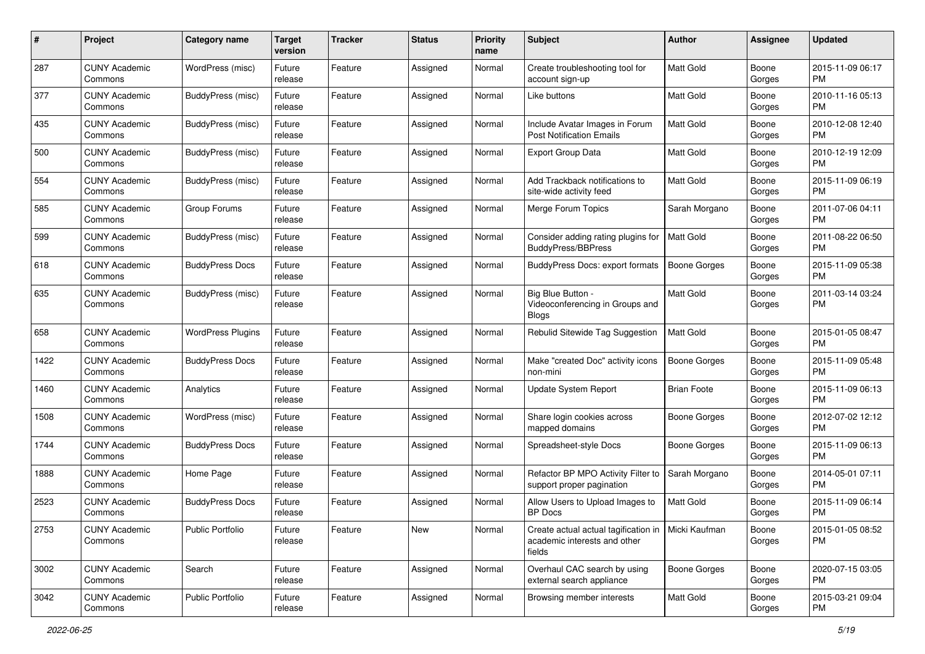| #    | Project                         | <b>Category name</b>     | Target<br>version | <b>Tracker</b> | <b>Status</b> | <b>Priority</b><br>name | Subject                                                                                        | Author              | <b>Assignee</b> | <b>Updated</b>                |
|------|---------------------------------|--------------------------|-------------------|----------------|---------------|-------------------------|------------------------------------------------------------------------------------------------|---------------------|-----------------|-------------------------------|
| 287  | <b>CUNY Academic</b><br>Commons | WordPress (misc)         | Future<br>release | Feature        | Assigned      | Normal                  | Create troubleshooting tool for<br>account sign-up                                             | <b>Matt Gold</b>    | Boone<br>Gorges | 2015-11-09 06:17<br><b>PM</b> |
| 377  | <b>CUNY Academic</b><br>Commons | BuddyPress (misc)        | Future<br>release | Feature        | Assigned      | Normal                  | Like buttons                                                                                   | Matt Gold           | Boone<br>Gorges | 2010-11-16 05:13<br><b>PM</b> |
| 435  | CUNY Academic<br>Commons        | BuddyPress (misc)        | Future<br>release | Feature        | Assigned      | Normal                  | Include Avatar Images in Forum<br><b>Post Notification Emails</b>                              | Matt Gold           | Boone<br>Gorges | 2010-12-08 12:40<br><b>PM</b> |
| 500  | <b>CUNY Academic</b><br>Commons | BuddyPress (misc)        | Future<br>release | Feature        | Assigned      | Normal                  | Export Group Data                                                                              | <b>Matt Gold</b>    | Boone<br>Gorges | 2010-12-19 12:09<br><b>PM</b> |
| 554  | <b>CUNY Academic</b><br>Commons | BuddyPress (misc)        | Future<br>release | Feature        | Assigned      | Normal                  | Add Trackback notifications to<br>site-wide activity feed                                      | Matt Gold           | Boone<br>Gorges | 2015-11-09 06:19<br><b>PM</b> |
| 585  | <b>CUNY Academic</b><br>Commons | Group Forums             | Future<br>release | Feature        | Assigned      | Normal                  | Merge Forum Topics                                                                             | Sarah Morgano       | Boone<br>Gorges | 2011-07-06 04:11<br><b>PM</b> |
| 599  | <b>CUNY Academic</b><br>Commons | BuddyPress (misc)        | Future<br>release | Feature        | Assigned      | Normal                  | Consider adding rating plugins for<br><b>BuddyPress/BBPress</b>                                | Matt Gold           | Boone<br>Gorges | 2011-08-22 06:50<br><b>PM</b> |
| 618  | <b>CUNY Academic</b><br>Commons | <b>BuddyPress Docs</b>   | Future<br>release | Feature        | Assigned      | Normal                  | BuddyPress Docs: export formats                                                                | Boone Gorges        | Boone<br>Gorges | 2015-11-09 05:38<br><b>PM</b> |
| 635  | <b>CUNY Academic</b><br>Commons | BuddyPress (misc)        | Future<br>release | Feature        | Assigned      | Normal                  | Big Blue Button -<br>Videoconferencing in Groups and<br><b>Blogs</b>                           | Matt Gold           | Boone<br>Gorges | 2011-03-14 03:24<br><b>PM</b> |
| 658  | <b>CUNY Academic</b><br>Commons | <b>WordPress Plugins</b> | Future<br>release | Feature        | Assigned      | Normal                  | Rebulid Sitewide Tag Suggestion                                                                | <b>Matt Gold</b>    | Boone<br>Gorges | 2015-01-05 08:47<br><b>PM</b> |
| 1422 | <b>CUNY Academic</b><br>Commons | <b>BuddyPress Docs</b>   | Future<br>release | Feature        | Assigned      | Normal                  | Make "created Doc" activity icons<br>non-mini                                                  | <b>Boone Gorges</b> | Boone<br>Gorges | 2015-11-09 05:48<br><b>PM</b> |
| 1460 | <b>CUNY Academic</b><br>Commons | Analytics                | Future<br>release | Feature        | Assigned      | Normal                  | Update System Report                                                                           | <b>Brian Foote</b>  | Boone<br>Gorges | 2015-11-09 06:13<br><b>PM</b> |
| 1508 | <b>CUNY Academic</b><br>Commons | WordPress (misc)         | Future<br>release | Feature        | Assigned      | Normal                  | Share login cookies across<br>mapped domains                                                   | Boone Gorges        | Boone<br>Gorges | 2012-07-02 12:12<br><b>PM</b> |
| 1744 | <b>CUNY Academic</b><br>Commons | <b>BuddyPress Docs</b>   | Future<br>release | Feature        | Assigned      | Normal                  | Spreadsheet-style Docs                                                                         | <b>Boone Gorges</b> | Boone<br>Gorges | 2015-11-09 06:13<br><b>PM</b> |
| 1888 | <b>CUNY Academic</b><br>Commons | Home Page                | Future<br>release | Feature        | Assigned      | Normal                  | Refactor BP MPO Activity Filter to<br>support proper pagination                                | Sarah Morgano       | Boone<br>Gorges | 2014-05-01 07:11<br><b>PM</b> |
| 2523 | <b>CUNY Academic</b><br>Commons | <b>BuddyPress Docs</b>   | Future<br>release | Feature        | Assigned      | Normal                  | Allow Users to Upload Images to<br><b>BP</b> Docs                                              | Matt Gold           | Boone<br>Gorges | 2015-11-09 06:14<br><b>PM</b> |
| 2753 | <b>CUNY Academic</b><br>Commons | <b>Public Portfolio</b>  | Future<br>release | Feature        | New           | Normal                  | Create actual actual tagification in   Micki Kaufman<br>academic interests and other<br>fields |                     | Boone<br>Gorges | 2015-01-05 08:52<br><b>PM</b> |
| 3002 | <b>CUNY Academic</b><br>Commons | Search                   | Future<br>release | Feature        | Assigned      | Normal                  | Overhaul CAC search by using<br>external search appliance                                      | <b>Boone Gorges</b> | Boone<br>Gorges | 2020-07-15 03:05<br><b>PM</b> |
| 3042 | <b>CUNY Academic</b><br>Commons | Public Portfolio         | Future<br>release | Feature        | Assigned      | Normal                  | Browsing member interests                                                                      | Matt Gold           | Boone<br>Gorges | 2015-03-21 09:04<br><b>PM</b> |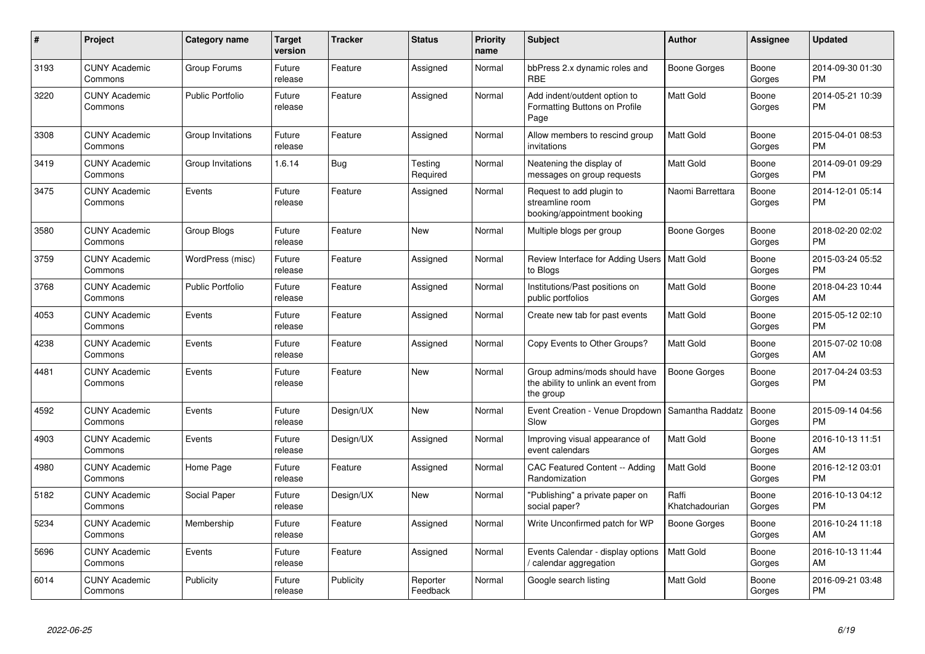| #    | <b>Project</b>                  | <b>Category name</b>    | <b>Target</b><br>version | <b>Tracker</b> | <b>Status</b>        | <b>Priority</b><br>name | <b>Subject</b>                                                                    | <b>Author</b>           | Assignee        | <b>Updated</b>                |
|------|---------------------------------|-------------------------|--------------------------|----------------|----------------------|-------------------------|-----------------------------------------------------------------------------------|-------------------------|-----------------|-------------------------------|
| 3193 | <b>CUNY Academic</b><br>Commons | Group Forums            | Future<br>release        | Feature        | Assigned             | Normal                  | bbPress 2.x dynamic roles and<br><b>RBE</b>                                       | Boone Gorges            | Boone<br>Gorges | 2014-09-30 01:30<br><b>PM</b> |
| 3220 | <b>CUNY Academic</b><br>Commons | <b>Public Portfolio</b> | Future<br>release        | Feature        | Assigned             | Normal                  | Add indent/outdent option to<br>Formatting Buttons on Profile<br>Page             | Matt Gold               | Boone<br>Gorges | 2014-05-21 10:39<br><b>PM</b> |
| 3308 | <b>CUNY Academic</b><br>Commons | Group Invitations       | Future<br>release        | Feature        | Assigned             | Normal                  | Allow members to rescind group<br>invitations                                     | <b>Matt Gold</b>        | Boone<br>Gorges | 2015-04-01 08:53<br><b>PM</b> |
| 3419 | <b>CUNY Academic</b><br>Commons | Group Invitations       | 1.6.14                   | <b>Bug</b>     | Testing<br>Required  | Normal                  | Neatening the display of<br>messages on group requests                            | <b>Matt Gold</b>        | Boone<br>Gorges | 2014-09-01 09:29<br><b>PM</b> |
| 3475 | <b>CUNY Academic</b><br>Commons | Events                  | Future<br>release        | Feature        | Assigned             | Normal                  | Request to add plugin to<br>streamline room<br>booking/appointment booking        | Naomi Barrettara        | Boone<br>Gorges | 2014-12-01 05:14<br><b>PM</b> |
| 3580 | <b>CUNY Academic</b><br>Commons | Group Blogs             | Future<br>release        | Feature        | <b>New</b>           | Normal                  | Multiple blogs per group                                                          | Boone Gorges            | Boone<br>Gorges | 2018-02-20 02:02<br><b>PM</b> |
| 3759 | <b>CUNY Academic</b><br>Commons | WordPress (misc)        | Future<br>release        | Feature        | Assigned             | Normal                  | Review Interface for Adding Users<br>to Blogs                                     | <b>Matt Gold</b>        | Boone<br>Gorges | 2015-03-24 05:52<br><b>PM</b> |
| 3768 | <b>CUNY Academic</b><br>Commons | <b>Public Portfolio</b> | Future<br>release        | Feature        | Assigned             | Normal                  | Institutions/Past positions on<br>public portfolios                               | <b>Matt Gold</b>        | Boone<br>Gorges | 2018-04-23 10:44<br>AM        |
| 4053 | <b>CUNY Academic</b><br>Commons | Events                  | Future<br>release        | Feature        | Assigned             | Normal                  | Create new tab for past events                                                    | Matt Gold               | Boone<br>Gorges | 2015-05-12 02:10<br><b>PM</b> |
| 4238 | <b>CUNY Academic</b><br>Commons | Events                  | Future<br>release        | Feature        | Assigned             | Normal                  | Copy Events to Other Groups?                                                      | Matt Gold               | Boone<br>Gorges | 2015-07-02 10:08<br>AM        |
| 4481 | <b>CUNY Academic</b><br>Commons | Events                  | Future<br>release        | Feature        | <b>New</b>           | Normal                  | Group admins/mods should have<br>the ability to unlink an event from<br>the group | Boone Gorges            | Boone<br>Gorges | 2017-04-24 03:53<br><b>PM</b> |
| 4592 | <b>CUNY Academic</b><br>Commons | Events                  | Future<br>release        | Design/UX      | <b>New</b>           | Normal                  | Event Creation - Venue Dropdown<br>Slow                                           | Samantha Raddatz        | Boone<br>Gorges | 2015-09-14 04:56<br><b>PM</b> |
| 4903 | <b>CUNY Academic</b><br>Commons | Events                  | Future<br>release        | Design/UX      | Assigned             | Normal                  | Improving visual appearance of<br>event calendars                                 | <b>Matt Gold</b>        | Boone<br>Gorges | 2016-10-13 11:51<br>AM        |
| 4980 | <b>CUNY Academic</b><br>Commons | Home Page               | Future<br>release        | Feature        | Assigned             | Normal                  | <b>CAC Featured Content -- Adding</b><br>Randomization                            | Matt Gold               | Boone<br>Gorges | 2016-12-12 03:01<br><b>PM</b> |
| 5182 | <b>CUNY Academic</b><br>Commons | Social Paper            | Future<br>release        | Design/UX      | <b>New</b>           | Normal                  | "Publishing" a private paper on<br>social paper?                                  | Raffi<br>Khatchadourian | Boone<br>Gorges | 2016-10-13 04:12<br><b>PM</b> |
| 5234 | <b>CUNY Academic</b><br>Commons | Membership              | Future<br>release        | Feature        | Assigned             | Normal                  | Write Unconfirmed patch for WP                                                    | Boone Gorges            | Boone<br>Gorges | 2016-10-24 11:18<br>AM        |
| 5696 | <b>CUNY Academic</b><br>Commons | Events                  | Future<br>release        | Feature        | Assigned             | Normal                  | Events Calendar - display options<br>calendar aggregation                         | Matt Gold               | Boone<br>Gorges | 2016-10-13 11:44<br>AM        |
| 6014 | <b>CUNY Academic</b><br>Commons | Publicity               | Future<br>release        | Publicity      | Reporter<br>Feedback | Normal                  | Google search listing                                                             | Matt Gold               | Boone<br>Gorges | 2016-09-21 03:48<br><b>PM</b> |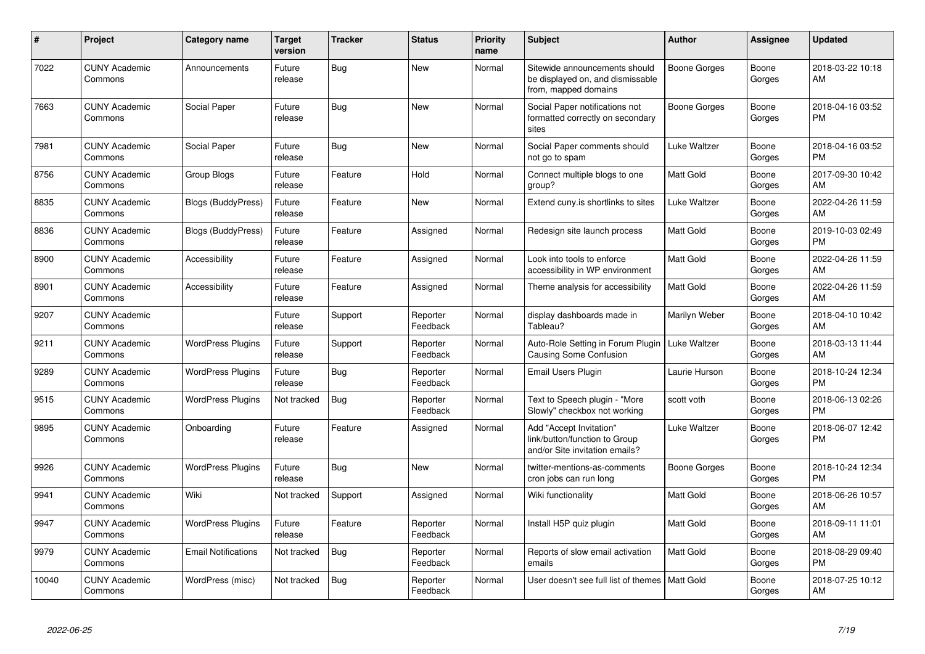| $\#$  | <b>Project</b>                  | <b>Category name</b>       | <b>Target</b><br>version | Tracker    | <b>Status</b>        | Priority<br>name | <b>Subject</b>                                                                             | <b>Author</b>       | Assignee        | <b>Updated</b>                |
|-------|---------------------------------|----------------------------|--------------------------|------------|----------------------|------------------|--------------------------------------------------------------------------------------------|---------------------|-----------------|-------------------------------|
| 7022  | <b>CUNY Academic</b><br>Commons | Announcements              | Future<br>release        | <b>Bug</b> | <b>New</b>           | Normal           | Sitewide announcements should<br>be displayed on, and dismissable<br>from, mapped domains  | <b>Boone Gorges</b> | Boone<br>Gorges | 2018-03-22 10:18<br>AM        |
| 7663  | <b>CUNY Academic</b><br>Commons | Social Paper               | Future<br>release        | <b>Bug</b> | <b>New</b>           | Normal           | Social Paper notifications not<br>formatted correctly on secondary<br>sites                | <b>Boone Gorges</b> | Boone<br>Gorges | 2018-04-16 03:52<br><b>PM</b> |
| 7981  | <b>CUNY Academic</b><br>Commons | Social Paper               | Future<br>release        | Bug        | New                  | Normal           | Social Paper comments should<br>not go to spam                                             | Luke Waltzer        | Boone<br>Gorges | 2018-04-16 03:52<br><b>PM</b> |
| 8756  | <b>CUNY Academic</b><br>Commons | Group Blogs                | Future<br>release        | Feature    | Hold                 | Normal           | Connect multiple blogs to one<br>group?                                                    | Matt Gold           | Boone<br>Gorges | 2017-09-30 10:42<br>AM        |
| 8835  | <b>CUNY Academic</b><br>Commons | <b>Blogs (BuddyPress)</b>  | Future<br>release        | Feature    | <b>New</b>           | Normal           | Extend cuny.is shortlinks to sites                                                         | <b>Luke Waltzer</b> | Boone<br>Gorges | 2022-04-26 11:59<br>AM        |
| 8836  | <b>CUNY Academic</b><br>Commons | Blogs (BuddyPress)         | Future<br>release        | Feature    | Assigned             | Normal           | Redesign site launch process                                                               | Matt Gold           | Boone<br>Gorges | 2019-10-03 02:49<br><b>PM</b> |
| 8900  | <b>CUNY Academic</b><br>Commons | Accessibility              | Future<br>release        | Feature    | Assigned             | Normal           | Look into tools to enforce<br>accessibility in WP environment                              | Matt Gold           | Boone<br>Gorges | 2022-04-26 11:59<br>AM        |
| 8901  | <b>CUNY Academic</b><br>Commons | Accessibility              | Future<br>release        | Feature    | Assigned             | Normal           | Theme analysis for accessibility                                                           | Matt Gold           | Boone<br>Gorges | 2022-04-26 11:59<br>AM        |
| 9207  | <b>CUNY Academic</b><br>Commons |                            | Future<br>release        | Support    | Reporter<br>Feedback | Normal           | display dashboards made in<br>Tableau?                                                     | Marilyn Weber       | Boone<br>Gorges | 2018-04-10 10:42<br>AM        |
| 9211  | <b>CUNY Academic</b><br>Commons | <b>WordPress Plugins</b>   | Future<br>release        | Support    | Reporter<br>Feedback | Normal           | Auto-Role Setting in Forum Plugin   Luke Waltzer<br><b>Causing Some Confusion</b>          |                     | Boone<br>Gorges | 2018-03-13 11:44<br>AM        |
| 9289  | <b>CUNY Academic</b><br>Commons | <b>WordPress Plugins</b>   | Future<br>release        | Bug        | Reporter<br>Feedback | Normal           | <b>Email Users Plugin</b>                                                                  | Laurie Hurson       | Boone<br>Gorges | 2018-10-24 12:34<br><b>PM</b> |
| 9515  | <b>CUNY Academic</b><br>Commons | <b>WordPress Plugins</b>   | Not tracked              | <b>Bug</b> | Reporter<br>Feedback | Normal           | Text to Speech plugin - "More<br>Slowly" checkbox not working                              | scott voth          | Boone<br>Gorges | 2018-06-13 02:26<br><b>PM</b> |
| 9895  | <b>CUNY Academic</b><br>Commons | Onboarding                 | Future<br>release        | Feature    | Assigned             | Normal           | Add "Accept Invitation"<br>link/button/function to Group<br>and/or Site invitation emails? | Luke Waltzer        | Boone<br>Gorges | 2018-06-07 12:42<br><b>PM</b> |
| 9926  | <b>CUNY Academic</b><br>Commons | <b>WordPress Plugins</b>   | Future<br>release        | <b>Bug</b> | <b>New</b>           | Normal           | twitter-mentions-as-comments<br>cron jobs can run long                                     | <b>Boone Gorges</b> | Boone<br>Gorges | 2018-10-24 12:34<br><b>PM</b> |
| 9941  | <b>CUNY Academic</b><br>Commons | Wiki                       | Not tracked              | Support    | Assigned             | Normal           | Wiki functionality                                                                         | Matt Gold           | Boone<br>Gorges | 2018-06-26 10:57<br>AM        |
| 9947  | <b>CUNY Academic</b><br>Commons | <b>WordPress Plugins</b>   | Future<br>release        | Feature    | Reporter<br>Feedback | Normal           | Install H5P quiz plugin                                                                    | Matt Gold           | Boone<br>Gorges | 2018-09-11 11:01<br>AM        |
| 9979  | <b>CUNY Academic</b><br>Commons | <b>Email Notifications</b> | Not tracked              | Bug        | Reporter<br>Feedback | Normal           | Reports of slow email activation<br>emails                                                 | Matt Gold           | Boone<br>Gorges | 2018-08-29 09:40<br><b>PM</b> |
| 10040 | <b>CUNY Academic</b><br>Commons | WordPress (misc)           | Not tracked              | Bug        | Reporter<br>Feedback | Normal           | User doesn't see full list of themes                                                       | Matt Gold           | Boone<br>Gorges | 2018-07-25 10:12<br>AM        |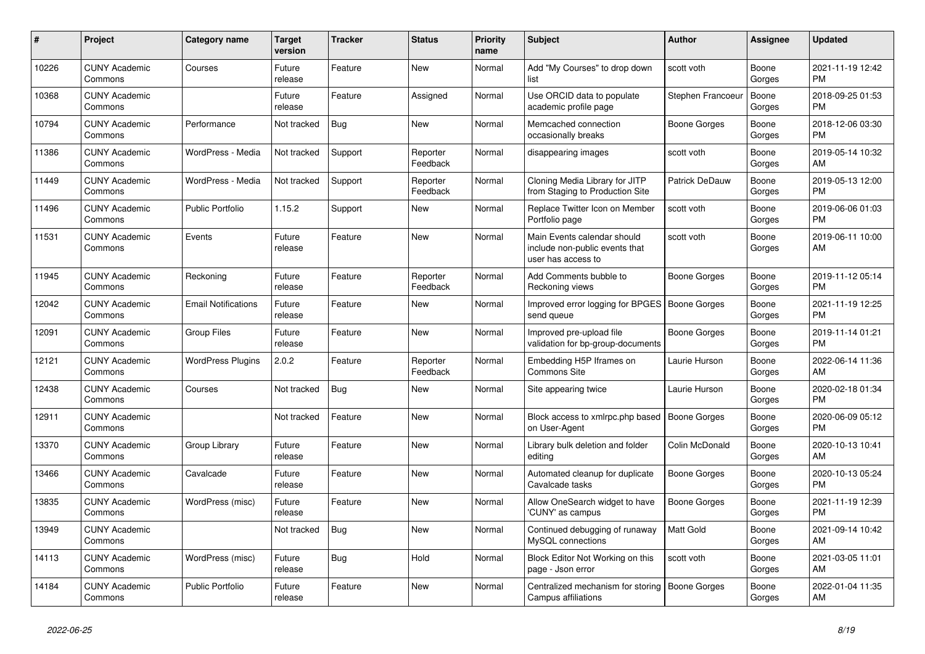| #     | <b>Project</b>                  | <b>Category name</b>       | Target<br>version | Tracker    | <b>Status</b>        | <b>Priority</b><br>name | <b>Subject</b>                                                                      | <b>Author</b>       | <b>Assignee</b> | <b>Updated</b>                |
|-------|---------------------------------|----------------------------|-------------------|------------|----------------------|-------------------------|-------------------------------------------------------------------------------------|---------------------|-----------------|-------------------------------|
| 10226 | <b>CUNY Academic</b><br>Commons | Courses                    | Future<br>release | Feature    | <b>New</b>           | Normal                  | Add "My Courses" to drop down<br>list                                               | scott voth          | Boone<br>Gorges | 2021-11-19 12:42<br><b>PM</b> |
| 10368 | <b>CUNY Academic</b><br>Commons |                            | Future<br>release | Feature    | Assigned             | Normal                  | Use ORCID data to populate<br>academic profile page                                 | Stephen Francoeur   | Boone<br>Gorges | 2018-09-25 01:53<br><b>PM</b> |
| 10794 | <b>CUNY Academic</b><br>Commons | Performance                | Not tracked       | <b>Bug</b> | New                  | Normal                  | Memcached connection<br>occasionally breaks                                         | Boone Gorges        | Boone<br>Gorges | 2018-12-06 03:30<br><b>PM</b> |
| 11386 | <b>CUNY Academic</b><br>Commons | WordPress - Media          | Not tracked       | Support    | Reporter<br>Feedback | Normal                  | disappearing images                                                                 | scott voth          | Boone<br>Gorges | 2019-05-14 10:32<br>AM        |
| 11449 | <b>CUNY Academic</b><br>Commons | WordPress - Media          | Not tracked       | Support    | Reporter<br>Feedback | Normal                  | Cloning Media Library for JITP<br>from Staging to Production Site                   | Patrick DeDauw      | Boone<br>Gorges | 2019-05-13 12:00<br><b>PM</b> |
| 11496 | <b>CUNY Academic</b><br>Commons | <b>Public Portfolio</b>    | 1.15.2            | Support    | <b>New</b>           | Normal                  | Replace Twitter Icon on Member<br>Portfolio page                                    | scott voth          | Boone<br>Gorges | 2019-06-06 01:03<br><b>PM</b> |
| 11531 | <b>CUNY Academic</b><br>Commons | Events                     | Future<br>release | Feature    | <b>New</b>           | Normal                  | Main Events calendar should<br>include non-public events that<br>user has access to | scott voth          | Boone<br>Gorges | 2019-06-11 10:00<br>AM        |
| 11945 | <b>CUNY Academic</b><br>Commons | Reckoning                  | Future<br>release | Feature    | Reporter<br>Feedback | Normal                  | Add Comments bubble to<br>Reckoning views                                           | Boone Gorges        | Boone<br>Gorges | 2019-11-12 05:14<br><b>PM</b> |
| 12042 | <b>CUNY Academic</b><br>Commons | <b>Email Notifications</b> | Future<br>release | Feature    | <b>New</b>           | Normal                  | Improved error logging for BPGES   Boone Gorges<br>send queue                       |                     | Boone<br>Gorges | 2021-11-19 12:25<br><b>PM</b> |
| 12091 | <b>CUNY Academic</b><br>Commons | <b>Group Files</b>         | Future<br>release | Feature    | <b>New</b>           | Normal                  | Improved pre-upload file<br>validation for bp-group-documents                       | Boone Gorges        | Boone<br>Gorges | 2019-11-14 01:21<br><b>PM</b> |
| 12121 | <b>CUNY Academic</b><br>Commons | <b>WordPress Plugins</b>   | 2.0.2             | Feature    | Reporter<br>Feedback | Normal                  | Embedding H5P Iframes on<br><b>Commons Site</b>                                     | Laurie Hurson       | Boone<br>Gorges | 2022-06-14 11:36<br>AM        |
| 12438 | <b>CUNY Academic</b><br>Commons | Courses                    | Not tracked       | Bug        | New                  | Normal                  | Site appearing twice                                                                | Laurie Hurson       | Boone<br>Gorges | 2020-02-18 01:34<br><b>PM</b> |
| 12911 | <b>CUNY Academic</b><br>Commons |                            | Not tracked       | Feature    | <b>New</b>           | Normal                  | Block access to xmlrpc.php based<br>on User-Agent                                   | <b>Boone Gorges</b> | Boone<br>Gorges | 2020-06-09 05:12<br><b>PM</b> |
| 13370 | <b>CUNY Academic</b><br>Commons | Group Library              | Future<br>release | Feature    | <b>New</b>           | Normal                  | Library bulk deletion and folder<br>editing                                         | Colin McDonald      | Boone<br>Gorges | 2020-10-13 10:41<br>AM        |
| 13466 | <b>CUNY Academic</b><br>Commons | Cavalcade                  | Future<br>release | Feature    | New                  | Normal                  | Automated cleanup for duplicate<br>Cavalcade tasks                                  | Boone Gorges        | Boone<br>Gorges | 2020-10-13 05:24<br><b>PM</b> |
| 13835 | <b>CUNY Academic</b><br>Commons | WordPress (misc)           | Future<br>release | Feature    | <b>New</b>           | Normal                  | Allow OneSearch widget to have<br>'CUNY' as campus                                  | Boone Gorges        | Boone<br>Gorges | 2021-11-19 12:39<br><b>PM</b> |
| 13949 | <b>CUNY Academic</b><br>Commons |                            | Not tracked       | Bug        | <b>New</b>           | Normal                  | Continued debugging of runaway<br>MySQL connections                                 | Matt Gold           | Boone<br>Gorges | 2021-09-14 10:42<br>AM        |
| 14113 | <b>CUNY Academic</b><br>Commons | WordPress (misc)           | Future<br>release | <b>Bug</b> | Hold                 | Normal                  | Block Editor Not Working on this<br>page - Json error                               | scott voth          | Boone<br>Gorges | 2021-03-05 11:01<br>AM        |
| 14184 | <b>CUNY Academic</b><br>Commons | <b>Public Portfolio</b>    | Future<br>release | Feature    | <b>New</b>           | Normal                  | Centralized mechanism for storing<br>Campus affiliations                            | Boone Gorges        | Boone<br>Gorges | 2022-01-04 11:35<br>AM        |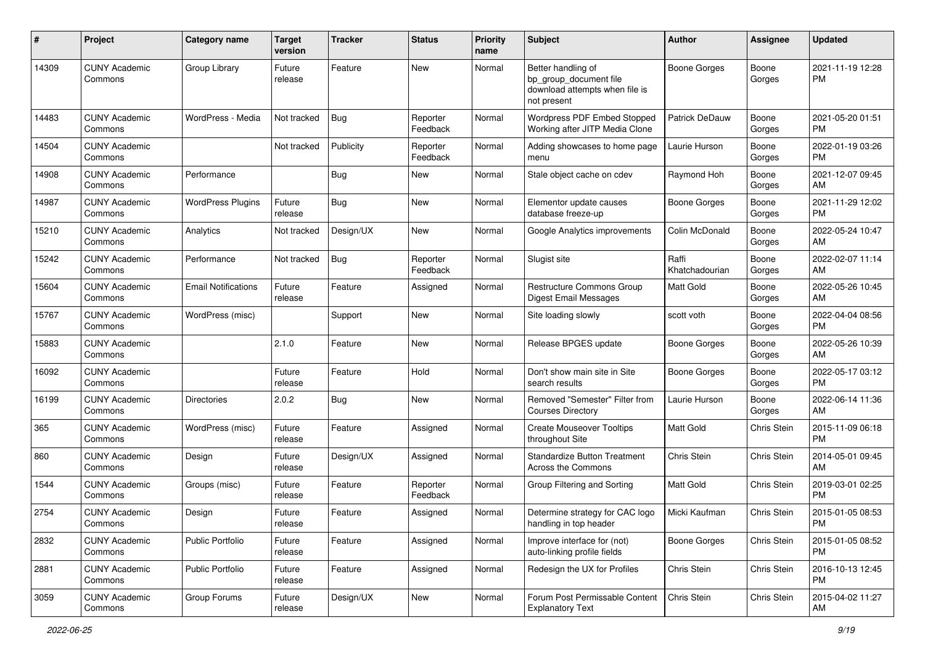| #     | Project                         | <b>Category name</b>       | <b>Target</b><br>version | <b>Tracker</b> | <b>Status</b>        | <b>Priority</b><br>name | <b>Subject</b>                                                                                | <b>Author</b>           | <b>Assignee</b> | <b>Updated</b>                |
|-------|---------------------------------|----------------------------|--------------------------|----------------|----------------------|-------------------------|-----------------------------------------------------------------------------------------------|-------------------------|-----------------|-------------------------------|
| 14309 | <b>CUNY Academic</b><br>Commons | Group Library              | Future<br>release        | Feature        | New                  | Normal                  | Better handling of<br>bp_group_document file<br>download attempts when file is<br>not present | <b>Boone Gorges</b>     | Boone<br>Gorges | 2021-11-19 12:28<br>РM        |
| 14483 | <b>CUNY Academic</b><br>Commons | WordPress - Media          | Not tracked              | <b>Bug</b>     | Reporter<br>Feedback | Normal                  | Wordpress PDF Embed Stopped<br>Working after JITP Media Clone                                 | Patrick DeDauw          | Boone<br>Gorges | 2021-05-20 01:51<br><b>PM</b> |
| 14504 | <b>CUNY Academic</b><br>Commons |                            | Not tracked              | Publicity      | Reporter<br>Feedback | Normal                  | Adding showcases to home page<br>menu                                                         | Laurie Hurson           | Boone<br>Gorges | 2022-01-19 03:26<br><b>PM</b> |
| 14908 | <b>CUNY Academic</b><br>Commons | Performance                |                          | <b>Bug</b>     | New                  | Normal                  | Stale object cache on cdev                                                                    | Raymond Hoh             | Boone<br>Gorges | 2021-12-07 09:45<br>AM        |
| 14987 | <b>CUNY Academic</b><br>Commons | <b>WordPress Plugins</b>   | Future<br>release        | Bug            | <b>New</b>           | Normal                  | Elementor update causes<br>database freeze-up                                                 | <b>Boone Gorges</b>     | Boone<br>Gorges | 2021-11-29 12:02<br><b>PM</b> |
| 15210 | <b>CUNY Academic</b><br>Commons | Analytics                  | Not tracked              | Design/UX      | New                  | Normal                  | Google Analytics improvements                                                                 | Colin McDonald          | Boone<br>Gorges | 2022-05-24 10:47<br>AM        |
| 15242 | <b>CUNY Academic</b><br>Commons | Performance                | Not tracked              | <b>Bug</b>     | Reporter<br>Feedback | Normal                  | Slugist site                                                                                  | Raffi<br>Khatchadourian | Boone<br>Gorges | 2022-02-07 11:14<br>AM        |
| 15604 | <b>CUNY Academic</b><br>Commons | <b>Email Notifications</b> | Future<br>release        | Feature        | Assigned             | Normal                  | <b>Restructure Commons Group</b><br>Digest Email Messages                                     | Matt Gold               | Boone<br>Gorges | 2022-05-26 10:45<br>AM        |
| 15767 | <b>CUNY Academic</b><br>Commons | WordPress (misc)           |                          | Support        | New                  | Normal                  | Site loading slowly                                                                           | scott voth              | Boone<br>Gorges | 2022-04-04 08:56<br><b>PM</b> |
| 15883 | <b>CUNY Academic</b><br>Commons |                            | 2.1.0                    | Feature        | New                  | Normal                  | Release BPGES update                                                                          | <b>Boone Gorges</b>     | Boone<br>Gorges | 2022-05-26 10:39<br>AM        |
| 16092 | <b>CUNY Academic</b><br>Commons |                            | Future<br>release        | Feature        | Hold                 | Normal                  | Don't show main site in Site<br>search results                                                | <b>Boone Gorges</b>     | Boone<br>Gorges | 2022-05-17 03:12<br><b>PM</b> |
| 16199 | <b>CUNY Academic</b><br>Commons | <b>Directories</b>         | 2.0.2                    | Bug            | New                  | Normal                  | Removed "Semester" Filter from<br><b>Courses Directory</b>                                    | Laurie Hurson           | Boone<br>Gorges | 2022-06-14 11:36<br>AM        |
| 365   | <b>CUNY Academic</b><br>Commons | WordPress (misc)           | Future<br>release        | Feature        | Assigned             | Normal                  | <b>Create Mouseover Tooltips</b><br>throughout Site                                           | Matt Gold               | Chris Stein     | 2015-11-09 06:18<br><b>PM</b> |
| 860   | <b>CUNY Academic</b><br>Commons | Design                     | Future<br>release        | Design/UX      | Assigned             | Normal                  | <b>Standardize Button Treatment</b><br>Across the Commons                                     | <b>Chris Stein</b>      | Chris Stein     | 2014-05-01 09:45<br>AM        |
| 1544  | <b>CUNY Academic</b><br>Commons | Groups (misc)              | Future<br>release        | Feature        | Reporter<br>Feedback | Normal                  | Group Filtering and Sorting                                                                   | Matt Gold               | Chris Stein     | 2019-03-01 02:25<br><b>PM</b> |
| 2754  | <b>CUNY Academic</b><br>Commons | Design                     | Future<br>release        | Feature        | Assigned             | Normal                  | Determine strategy for CAC logo<br>handling in top header                                     | Micki Kaufman           | Chris Stein     | 2015-01-05 08:53<br>PM        |
| 2832  | <b>CUNY Academic</b><br>Commons | <b>Public Portfolio</b>    | Future<br>release        | Feature        | Assigned             | Normal                  | Improve interface for (not)<br>auto-linking profile fields                                    | Boone Gorges            | Chris Stein     | 2015-01-05 08:52<br><b>PM</b> |
| 2881  | <b>CUNY Academic</b><br>Commons | <b>Public Portfolio</b>    | Future<br>release        | Feature        | Assigned             | Normal                  | Redesign the UX for Profiles                                                                  | Chris Stein             | Chris Stein     | 2016-10-13 12:45<br>PM        |
| 3059  | <b>CUNY Academic</b><br>Commons | Group Forums               | Future<br>release        | Design/UX      | New                  | Normal                  | Forum Post Permissable Content<br><b>Explanatory Text</b>                                     | Chris Stein             | Chris Stein     | 2015-04-02 11:27<br>AM        |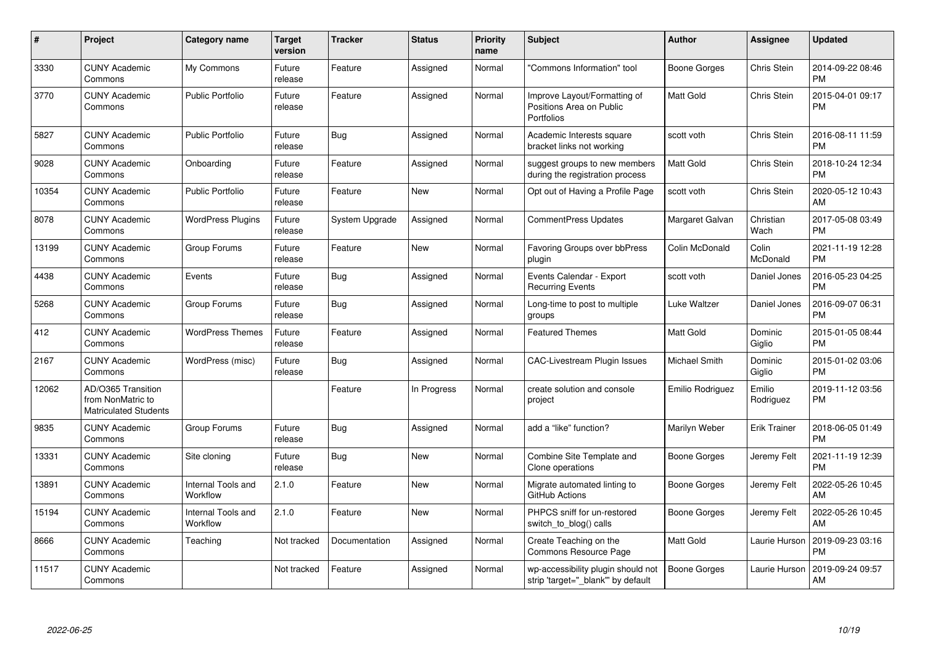| #     | Project                                                                 | <b>Category name</b>           | Target<br>version | <b>Tracker</b> | <b>Status</b> | <b>Priority</b><br>name | <b>Subject</b>                                                           | <b>Author</b>       | <b>Assignee</b>     | <b>Updated</b>                |
|-------|-------------------------------------------------------------------------|--------------------------------|-------------------|----------------|---------------|-------------------------|--------------------------------------------------------------------------|---------------------|---------------------|-------------------------------|
| 3330  | <b>CUNY Academic</b><br>Commons                                         | My Commons                     | Future<br>release | Feature        | Assigned      | Normal                  | 'Commons Information" tool                                               | Boone Gorges        | Chris Stein         | 2014-09-22 08:46<br>PM        |
| 3770  | <b>CUNY Academic</b><br>Commons                                         | <b>Public Portfolio</b>        | Future<br>release | Feature        | Assigned      | Normal                  | Improve Layout/Formatting of<br>Positions Area on Public<br>Portfolios   | Matt Gold           | Chris Stein         | 2015-04-01 09:17<br>PM        |
| 5827  | <b>CUNY Academic</b><br>Commons                                         | <b>Public Portfolio</b>        | Future<br>release | <b>Bug</b>     | Assigned      | Normal                  | Academic Interests square<br>bracket links not working                   | scott voth          | Chris Stein         | 2016-08-11 11:59<br>PM        |
| 9028  | <b>CUNY Academic</b><br>Commons                                         | Onboarding                     | Future<br>release | Feature        | Assigned      | Normal                  | suggest groups to new members<br>during the registration process         | Matt Gold           | Chris Stein         | 2018-10-24 12:34<br>РM        |
| 10354 | <b>CUNY Academic</b><br>Commons                                         | <b>Public Portfolio</b>        | Future<br>release | Feature        | <b>New</b>    | Normal                  | Opt out of Having a Profile Page                                         | scott voth          | Chris Stein         | 2020-05-12 10:43<br>AM        |
| 8078  | <b>CUNY Academic</b><br>Commons                                         | <b>WordPress Plugins</b>       | Future<br>release | System Upgrade | Assigned      | Normal                  | <b>CommentPress Updates</b>                                              | Margaret Galvan     | Christian<br>Wach   | 2017-05-08 03:49<br>PM        |
| 13199 | <b>CUNY Academic</b><br>Commons                                         | Group Forums                   | Future<br>release | Feature        | <b>New</b>    | Normal                  | <b>Favoring Groups over bbPress</b><br>plugin                            | Colin McDonald      | Colin<br>McDonald   | 2021-11-19 12:28<br>PM        |
| 4438  | <b>CUNY Academic</b><br>Commons                                         | Events                         | Future<br>release | <b>Bug</b>     | Assigned      | Normal                  | Events Calendar - Export<br><b>Recurring Events</b>                      | scott voth          | Daniel Jones        | 2016-05-23 04:25<br><b>PM</b> |
| 5268  | <b>CUNY Academic</b><br>Commons                                         | Group Forums                   | Future<br>release | Bug            | Assigned      | Normal                  | Long-time to post to multiple<br>groups                                  | Luke Waltzer        | Daniel Jones        | 2016-09-07 06:31<br>РM        |
| 412   | <b>CUNY Academic</b><br>Commons                                         | <b>WordPress Themes</b>        | Future<br>release | Feature        | Assigned      | Normal                  | <b>Featured Themes</b>                                                   | Matt Gold           | Dominic<br>Giglio   | 2015-01-05 08:44<br>PM        |
| 2167  | <b>CUNY Academic</b><br>Commons                                         | WordPress (misc)               | Future<br>release | Bug            | Assigned      | Normal                  | CAC-Livestream Plugin Issues                                             | Michael Smith       | Dominic<br>Giglio   | 2015-01-02 03:06<br><b>PM</b> |
| 12062 | AD/O365 Transition<br>from NonMatric to<br><b>Matriculated Students</b> |                                |                   | Feature        | In Progress   | Normal                  | create solution and console<br>project                                   | Emilio Rodriguez    | Emilio<br>Rodriguez | 2019-11-12 03:56<br>PM        |
| 9835  | <b>CUNY Academic</b><br>Commons                                         | Group Forums                   | Future<br>release | Bug            | Assigned      | Normal                  | add a "like" function?                                                   | Marilyn Weber       | Erik Trainer        | 2018-06-05 01:49<br>PМ        |
| 13331 | <b>CUNY Academic</b><br>Commons                                         | Site cloning                   | Future<br>release | Bug            | <b>New</b>    | Normal                  | Combine Site Template and<br>Clone operations                            | Boone Gorges        | Jeremy Felt         | 2021-11-19 12:39<br>PM        |
| 13891 | <b>CUNY Academic</b><br>Commons                                         | Internal Tools and<br>Workflow | 2.1.0             | Feature        | <b>New</b>    | Normal                  | Migrate automated linting to<br>GitHub Actions                           | <b>Boone Gorges</b> | Jeremy Felt         | 2022-05-26 10:45<br>AM        |
| 15194 | <b>CUNY Academic</b><br>Commons                                         | Internal Tools and<br>Workflow | 2.1.0             | Feature        | <b>New</b>    | Normal                  | PHPCS sniff for un-restored<br>switch_to_blog() calls                    | <b>Boone Gorges</b> | Jeremy Felt         | 2022-05-26 10:45<br>AM        |
| 8666  | <b>CUNY Academic</b><br>Commons                                         | Teaching                       | Not tracked       | Documentation  | Assigned      | Normal                  | Create Teaching on the<br>Commons Resource Page                          | Matt Gold           | Laurie Hurson       | 2019-09-23 03:16<br>PM        |
| 11517 | <b>CUNY Academic</b><br>Commons                                         |                                | Not tracked       | Feature        | Assigned      | Normal                  | wp-accessibility plugin should not<br>strip 'target="_blank"' by default | Boone Gorges        | Laurie Hurson       | 2019-09-24 09:57<br>AM        |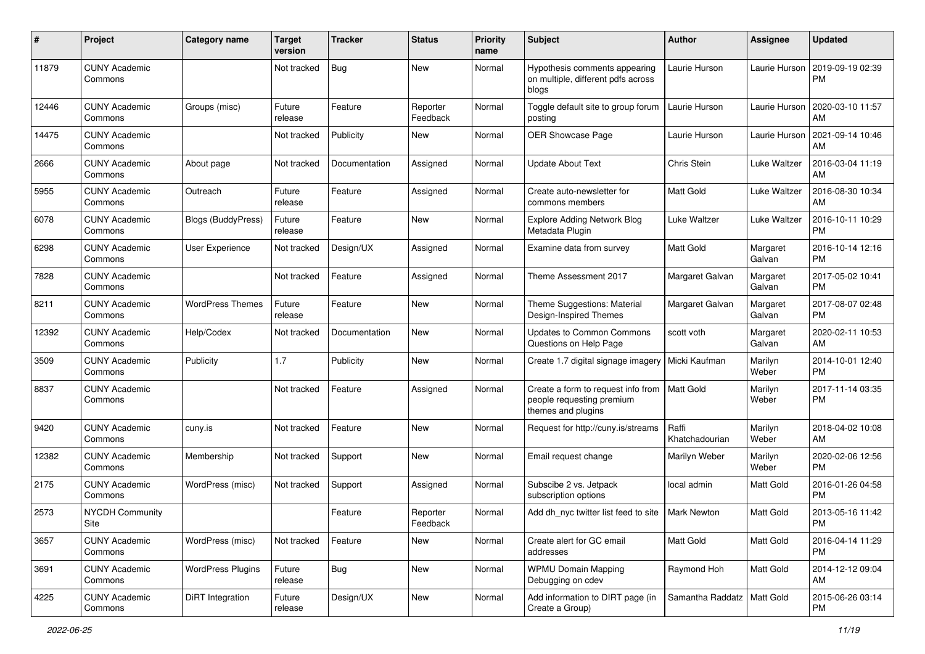| #     | Project                         | <b>Category name</b>      | <b>Target</b><br>version | <b>Tracker</b> | <b>Status</b>        | <b>Priority</b><br>name | Subject                                                                               | Author                       | Assignee           | <b>Updated</b>                |
|-------|---------------------------------|---------------------------|--------------------------|----------------|----------------------|-------------------------|---------------------------------------------------------------------------------------|------------------------------|--------------------|-------------------------------|
| 11879 | <b>CUNY Academic</b><br>Commons |                           | Not tracked              | Bug            | <b>New</b>           | Normal                  | Hypothesis comments appearing<br>on multiple, different pdfs across<br>blogs          | Laurie Hurson                | Laurie Hurson      | 2019-09-19 02:39<br><b>PM</b> |
| 12446 | <b>CUNY Academic</b><br>Commons | Groups (misc)             | Future<br>release        | Feature        | Reporter<br>Feedback | Normal                  | Toggle default site to group forum<br>posting                                         | Laurie Hurson                | Laurie Hurson      | 2020-03-10 11:57<br>AM        |
| 14475 | <b>CUNY Academic</b><br>Commons |                           | Not tracked              | Publicity      | New                  | Normal                  | OER Showcase Page                                                                     | Laurie Hurson                | Laurie Hurson      | 2021-09-14 10:46<br>AM        |
| 2666  | <b>CUNY Academic</b><br>Commons | About page                | Not tracked              | Documentation  | Assigned             | Normal                  | <b>Update About Text</b>                                                              | Chris Stein                  | Luke Waltzer       | 2016-03-04 11:19<br>AM        |
| 5955  | <b>CUNY Academic</b><br>Commons | Outreach                  | Future<br>release        | Feature        | Assigned             | Normal                  | Create auto-newsletter for<br>commons members                                         | <b>Matt Gold</b>             | Luke Waltzer       | 2016-08-30 10:34<br>AM        |
| 6078  | <b>CUNY Academic</b><br>Commons | <b>Blogs (BuddyPress)</b> | Future<br>release        | Feature        | New                  | Normal                  | <b>Explore Adding Network Blog</b><br>Metadata Plugin                                 | Luke Waltzer                 | Luke Waltzer       | 2016-10-11 10:29<br><b>PM</b> |
| 6298  | <b>CUNY Academic</b><br>Commons | User Experience           | Not tracked              | Design/UX      | Assigned             | Normal                  | Examine data from survey                                                              | <b>Matt Gold</b>             | Margaret<br>Galvan | 2016-10-14 12:16<br><b>PM</b> |
| 7828  | <b>CUNY Academic</b><br>Commons |                           | Not tracked              | Feature        | Assigned             | Normal                  | Theme Assessment 2017                                                                 | Margaret Galvan              | Margaret<br>Galvan | 2017-05-02 10:41<br><b>PM</b> |
| 8211  | <b>CUNY Academic</b><br>Commons | <b>WordPress Themes</b>   | Future<br>release        | Feature        | <b>New</b>           | Normal                  | Theme Suggestions: Material<br>Design-Inspired Themes                                 | Margaret Galvan              | Margaret<br>Galvan | 2017-08-07 02:48<br><b>PM</b> |
| 12392 | <b>CUNY Academic</b><br>Commons | Help/Codex                | Not tracked              | Documentation  | <b>New</b>           | Normal                  | <b>Updates to Common Commons</b><br>Questions on Help Page                            | scott voth                   | Margaret<br>Galvan | 2020-02-11 10:53<br>AM        |
| 3509  | <b>CUNY Academic</b><br>Commons | Publicity                 | 1.7                      | Publicity      | <b>New</b>           | Normal                  | Create 1.7 digital signage imagery                                                    | Micki Kaufman                | Marilyn<br>Weber   | 2014-10-01 12:40<br><b>PM</b> |
| 8837  | <b>CUNY Academic</b><br>Commons |                           | Not tracked              | Feature        | Assigned             | Normal                  | Create a form to request info from<br>people requesting premium<br>themes and plugins | <b>Matt Gold</b>             | Marilyn<br>Weber   | 2017-11-14 03:35<br><b>PM</b> |
| 9420  | <b>CUNY Academic</b><br>Commons | cuny.is                   | Not tracked              | Feature        | <b>New</b>           | Normal                  | Request for http://cuny.is/streams                                                    | Raffi<br>Khatchadourian      | Marilyn<br>Weber   | 2018-04-02 10:08<br>AM        |
| 12382 | <b>CUNY Academic</b><br>Commons | Membership                | Not tracked              | Support        | <b>New</b>           | Normal                  | Email request change                                                                  | Marilyn Weber                | Marilyn<br>Weber   | 2020-02-06 12:56<br><b>PM</b> |
| 2175  | <b>CUNY Academic</b><br>Commons | WordPress (misc)          | Not tracked              | Support        | Assigned             | Normal                  | Subscibe 2 vs. Jetpack<br>subscription options                                        | local admin                  | Matt Gold          | 2016-01-26 04:58<br><b>PM</b> |
| 2573  | <b>NYCDH Community</b><br>Site  |                           |                          | Feature        | Reporter<br>Feedback | Normal                  | Add dh nyc twitter list feed to site                                                  | <b>Mark Newton</b>           | Matt Gold          | 2013-05-16 11:42<br>PM        |
| 3657  | <b>CUNY Academic</b><br>Commons | WordPress (misc)          | Not tracked              | Feature        | New                  | Normal                  | Create alert for GC email<br>addresses                                                | Matt Gold                    | Matt Gold          | 2016-04-14 11:29<br><b>PM</b> |
| 3691  | <b>CUNY Academic</b><br>Commons | <b>WordPress Plugins</b>  | Future<br>release        | <b>Bug</b>     | New                  | Normal                  | <b>WPMU Domain Mapping</b><br>Debugging on cdev                                       | Raymond Hoh                  | Matt Gold          | 2014-12-12 09:04<br>AM        |
| 4225  | <b>CUNY Academic</b><br>Commons | DiRT Integration          | Future<br>release        | Design/UX      | New                  | Normal                  | Add information to DIRT page (in<br>Create a Group)                                   | Samantha Raddatz   Matt Gold |                    | 2015-06-26 03:14<br><b>PM</b> |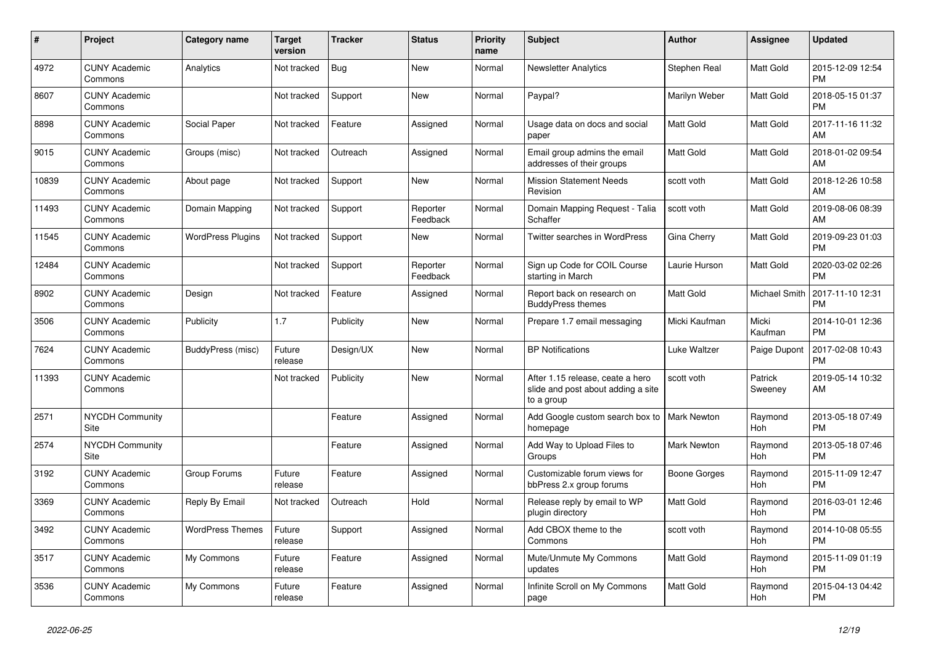| $\pmb{\#}$ | <b>Project</b>                  | Category name            | <b>Target</b><br>version | <b>Tracker</b> | <b>Status</b>        | <b>Priority</b><br>name | <b>Subject</b>                                                                       | <b>Author</b>      | <b>Assignee</b>       | <b>Updated</b>                |
|------------|---------------------------------|--------------------------|--------------------------|----------------|----------------------|-------------------------|--------------------------------------------------------------------------------------|--------------------|-----------------------|-------------------------------|
| 4972       | <b>CUNY Academic</b><br>Commons | Analytics                | Not tracked              | <b>Bug</b>     | <b>New</b>           | Normal                  | <b>Newsletter Analytics</b>                                                          | Stephen Real       | <b>Matt Gold</b>      | 2015-12-09 12:54<br><b>PM</b> |
| 8607       | <b>CUNY Academic</b><br>Commons |                          | Not tracked              | Support        | <b>New</b>           | Normal                  | Paypal?                                                                              | Marilyn Weber      | <b>Matt Gold</b>      | 2018-05-15 01:37<br><b>PM</b> |
| 8898       | <b>CUNY Academic</b><br>Commons | Social Paper             | Not tracked              | Feature        | Assigned             | Normal                  | Usage data on docs and social<br>paper                                               | Matt Gold          | Matt Gold             | 2017-11-16 11:32<br>AM        |
| 9015       | <b>CUNY Academic</b><br>Commons | Groups (misc)            | Not tracked              | Outreach       | Assigned             | Normal                  | Email group admins the email<br>addresses of their groups                            | <b>Matt Gold</b>   | <b>Matt Gold</b>      | 2018-01-02 09:54<br>AM        |
| 10839      | <b>CUNY Academic</b><br>Commons | About page               | Not tracked              | Support        | <b>New</b>           | Normal                  | <b>Mission Statement Needs</b><br>Revision                                           | scott voth         | <b>Matt Gold</b>      | 2018-12-26 10:58<br>AM        |
| 11493      | <b>CUNY Academic</b><br>Commons | Domain Mapping           | Not tracked              | Support        | Reporter<br>Feedback | Normal                  | Domain Mapping Request - Talia<br>Schaffer                                           | scott voth         | Matt Gold             | 2019-08-06 08:39<br>AM        |
| 11545      | <b>CUNY Academic</b><br>Commons | <b>WordPress Plugins</b> | Not tracked              | Support        | <b>New</b>           | Normal                  | <b>Twitter searches in WordPress</b>                                                 | Gina Cherry        | <b>Matt Gold</b>      | 2019-09-23 01:03<br><b>PM</b> |
| 12484      | <b>CUNY Academic</b><br>Commons |                          | Not tracked              | Support        | Reporter<br>Feedback | Normal                  | Sign up Code for COIL Course<br>starting in March                                    | Laurie Hurson      | Matt Gold             | 2020-03-02 02:26<br><b>PM</b> |
| 8902       | <b>CUNY Academic</b><br>Commons | Design                   | Not tracked              | Feature        | Assigned             | Normal                  | Report back on research on<br><b>BuddyPress themes</b>                               | Matt Gold          | Michael Smith         | 2017-11-10 12:31<br><b>PM</b> |
| 3506       | <b>CUNY Academic</b><br>Commons | Publicity                | 1.7                      | Publicity      | <b>New</b>           | Normal                  | Prepare 1.7 email messaging                                                          | Micki Kaufman      | Micki<br>Kaufman      | 2014-10-01 12:36<br><b>PM</b> |
| 7624       | <b>CUNY Academic</b><br>Commons | BuddyPress (misc)        | Future<br>release        | Design/UX      | <b>New</b>           | Normal                  | <b>BP Notifications</b>                                                              | Luke Waltzer       | Paige Dupont          | 2017-02-08 10:43<br><b>PM</b> |
| 11393      | <b>CUNY Academic</b><br>Commons |                          | Not tracked              | Publicity      | New                  | Normal                  | After 1.15 release, ceate a hero<br>slide and post about adding a site<br>to a group | scott voth         | Patrick<br>Sweeney    | 2019-05-14 10:32<br>AM        |
| 2571       | <b>NYCDH Community</b><br>Site  |                          |                          | Feature        | Assigned             | Normal                  | Add Google custom search box to<br>homepage                                          | <b>Mark Newton</b> | Raymond<br><b>Hoh</b> | 2013-05-18 07:49<br><b>PM</b> |
| 2574       | <b>NYCDH Community</b><br>Site  |                          |                          | Feature        | Assigned             | Normal                  | Add Way to Upload Files to<br>Groups                                                 | Mark Newton        | Raymond<br>Hoh        | 2013-05-18 07:46<br><b>PM</b> |
| 3192       | <b>CUNY Academic</b><br>Commons | Group Forums             | Future<br>release        | Feature        | Assigned             | Normal                  | Customizable forum views for<br>bbPress 2.x group forums                             | Boone Gorges       | Raymond<br><b>Hoh</b> | 2015-11-09 12:47<br><b>PM</b> |
| 3369       | <b>CUNY Academic</b><br>Commons | Reply By Email           | Not tracked              | Outreach       | Hold                 | Normal                  | Release reply by email to WP<br>plugin directory                                     | <b>Matt Gold</b>   | Raymond<br>Hoh        | 2016-03-01 12:46<br><b>PM</b> |
| 3492       | <b>CUNY Academic</b><br>Commons | <b>WordPress Themes</b>  | Future<br>release        | Support        | Assigned             | Normal                  | Add CBOX theme to the<br>Commons                                                     | scott voth         | Raymond<br>Hoh        | 2014-10-08 05:55<br><b>PM</b> |
| 3517       | <b>CUNY Academic</b><br>Commons | My Commons               | Future<br>release        | Feature        | Assigned             | Normal                  | Mute/Unmute My Commons<br>updates                                                    | Matt Gold          | Raymond<br>Hoh        | 2015-11-09 01:19<br><b>PM</b> |
| 3536       | <b>CUNY Academic</b><br>Commons | My Commons               | Future<br>release        | Feature        | Assigned             | Normal                  | Infinite Scroll on My Commons<br>page                                                | <b>Matt Gold</b>   | Raymond<br>Hoh        | 2015-04-13 04:42<br><b>PM</b> |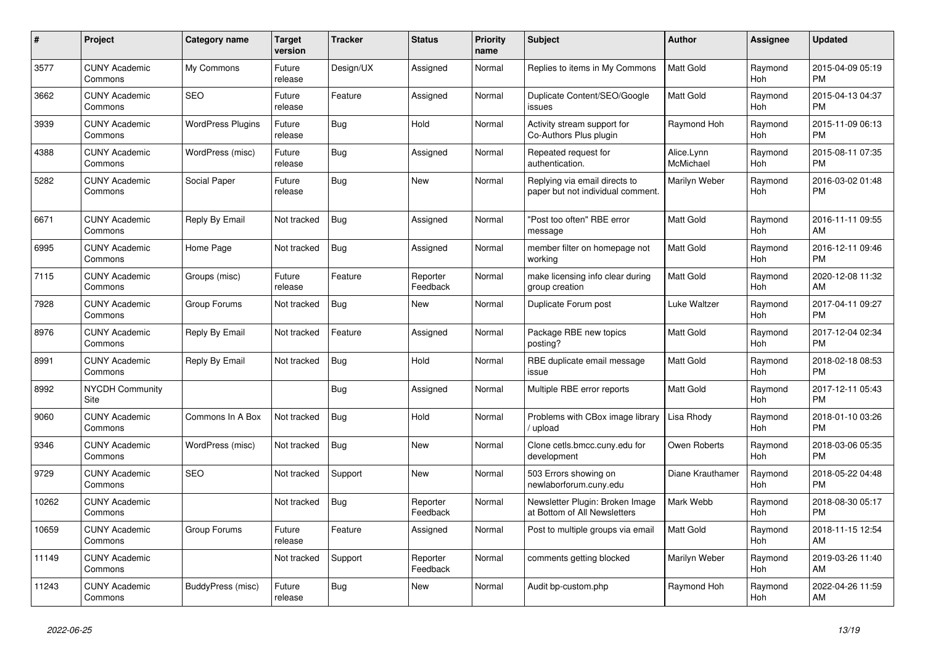| #     | <b>Project</b>                  | <b>Category name</b>     | Target<br>version | Tracker    | <b>Status</b>        | <b>Priority</b><br>name | <b>Subject</b>                                                     | <b>Author</b>           | Assignee              | <b>Updated</b>                |
|-------|---------------------------------|--------------------------|-------------------|------------|----------------------|-------------------------|--------------------------------------------------------------------|-------------------------|-----------------------|-------------------------------|
| 3577  | <b>CUNY Academic</b><br>Commons | My Commons               | Future<br>release | Design/UX  | Assigned             | Normal                  | Replies to items in My Commons                                     | <b>Matt Gold</b>        | Raymond<br><b>Hoh</b> | 2015-04-09 05:19<br><b>PM</b> |
| 3662  | <b>CUNY Academic</b><br>Commons | <b>SEO</b>               | Future<br>release | Feature    | Assigned             | Normal                  | Duplicate Content/SEO/Google<br>issues                             | <b>Matt Gold</b>        | Raymond<br>Hoh        | 2015-04-13 04:37<br><b>PM</b> |
| 3939  | <b>CUNY Academic</b><br>Commons | <b>WordPress Plugins</b> | Future<br>release | <b>Bug</b> | Hold                 | Normal                  | Activity stream support for<br>Co-Authors Plus plugin              | Raymond Hoh             | Raymond<br><b>Hoh</b> | 2015-11-09 06:13<br><b>PM</b> |
| 4388  | <b>CUNY Academic</b><br>Commons | WordPress (misc)         | Future<br>release | <b>Bug</b> | Assigned             | Normal                  | Repeated request for<br>authentication.                            | Alice.Lynn<br>McMichael | Raymond<br>Hoh        | 2015-08-11 07:35<br><b>PM</b> |
| 5282  | <b>CUNY Academic</b><br>Commons | Social Paper             | Future<br>release | Bug        | <b>New</b>           | Normal                  | Replying via email directs to<br>paper but not individual comment. | Marilyn Weber           | Raymond<br>Hoh        | 2016-03-02 01:48<br><b>PM</b> |
| 6671  | <b>CUNY Academic</b><br>Commons | Reply By Email           | Not tracked       | <b>Bug</b> | Assigned             | Normal                  | 'Post too often" RBE error<br>message                              | <b>Matt Gold</b>        | Raymond<br><b>Hoh</b> | 2016-11-11 09:55<br>AM        |
| 6995  | <b>CUNY Academic</b><br>Commons | Home Page                | Not tracked       | <b>Bug</b> | Assigned             | Normal                  | member filter on homepage not<br>working                           | <b>Matt Gold</b>        | Raymond<br>Hoh        | 2016-12-11 09:46<br><b>PM</b> |
| 7115  | <b>CUNY Academic</b><br>Commons | Groups (misc)            | Future<br>release | Feature    | Reporter<br>Feedback | Normal                  | make licensing info clear during<br>group creation                 | <b>Matt Gold</b>        | Raymond<br>Hoh        | 2020-12-08 11:32<br>AM        |
| 7928  | <b>CUNY Academic</b><br>Commons | Group Forums             | Not tracked       | <b>Bug</b> | <b>New</b>           | Normal                  | Duplicate Forum post                                               | Luke Waltzer            | Raymond<br>Hoh        | 2017-04-11 09:27<br><b>PM</b> |
| 8976  | <b>CUNY Academic</b><br>Commons | Reply By Email           | Not tracked       | Feature    | Assigned             | Normal                  | Package RBE new topics<br>posting?                                 | Matt Gold               | Raymond<br>Hoh        | 2017-12-04 02:34<br><b>PM</b> |
| 8991  | <b>CUNY Academic</b><br>Commons | Reply By Email           | Not tracked       | <b>Bug</b> | Hold                 | Normal                  | RBE duplicate email message<br>issue                               | Matt Gold               | Raymond<br><b>Hoh</b> | 2018-02-18 08:53<br><b>PM</b> |
| 8992  | <b>NYCDH Community</b><br>Site  |                          |                   | Bug        | Assigned             | Normal                  | Multiple RBE error reports                                         | <b>Matt Gold</b>        | Raymond<br><b>Hoh</b> | 2017-12-11 05:43<br><b>PM</b> |
| 9060  | <b>CUNY Academic</b><br>Commons | Commons In A Box         | Not tracked       | <b>Bug</b> | Hold                 | Normal                  | Problems with CBox image library<br>upload                         | Lisa Rhody              | Raymond<br>Hoh        | 2018-01-10 03:26<br><b>PM</b> |
| 9346  | <b>CUNY Academic</b><br>Commons | WordPress (misc)         | Not tracked       | <b>Bug</b> | <b>New</b>           | Normal                  | Clone cetls.bmcc.cuny.edu for<br>development                       | Owen Roberts            | Raymond<br>Hoh        | 2018-03-06 05:35<br><b>PM</b> |
| 9729  | <b>CUNY Academic</b><br>Commons | <b>SEO</b>               | Not tracked       | Support    | New                  | Normal                  | 503 Errors showing on<br>newlaborforum.cuny.edu                    | Diane Krauthamer        | Raymond<br>Hoh        | 2018-05-22 04:48<br><b>PM</b> |
| 10262 | <b>CUNY Academic</b><br>Commons |                          | Not tracked       | <b>Bug</b> | Reporter<br>Feedback | Normal                  | Newsletter Plugin: Broken Image<br>at Bottom of All Newsletters    | Mark Webb               | Raymond<br>Hoh        | 2018-08-30 05:17<br><b>PM</b> |
| 10659 | <b>CUNY Academic</b><br>Commons | Group Forums             | Future<br>release | Feature    | Assigned             | Normal                  | Post to multiple groups via email                                  | Matt Gold               | Raymond<br><b>Hoh</b> | 2018-11-15 12:54<br>AM        |
| 11149 | <b>CUNY Academic</b><br>Commons |                          | Not tracked       | Support    | Reporter<br>Feedback | Normal                  | comments getting blocked                                           | Marilyn Weber           | Raymond<br>Hoh        | 2019-03-26 11:40<br>AM        |
| 11243 | <b>CUNY Academic</b><br>Commons | BuddyPress (misc)        | Future<br>release | Bug        | <b>New</b>           | Normal                  | Audit bp-custom.php                                                | Raymond Hoh             | Raymond<br>Hoh        | 2022-04-26 11:59<br>AM        |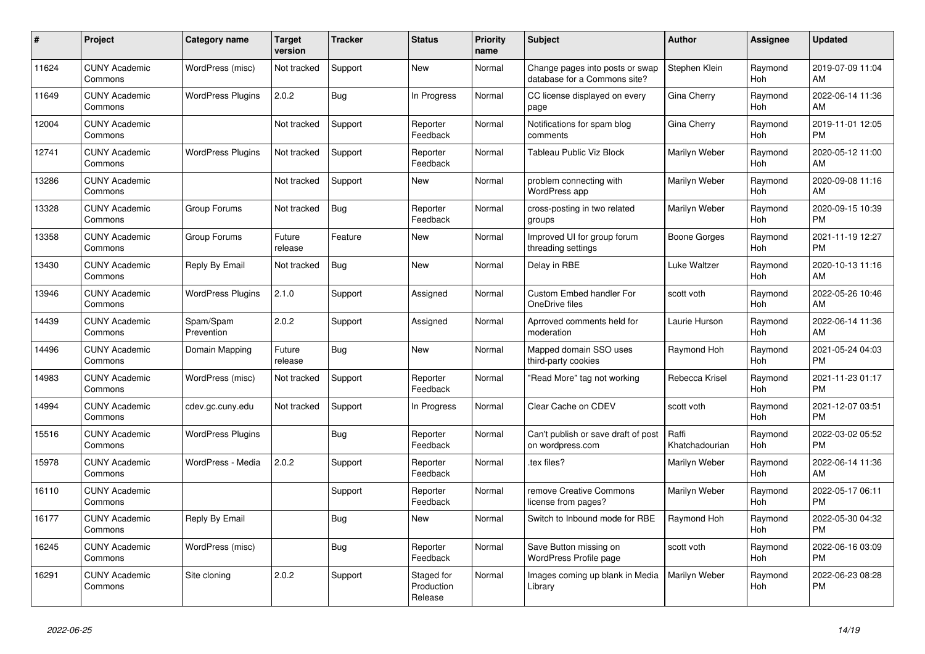| #     | Project                         | <b>Category name</b>     | <b>Target</b><br>version | <b>Tracker</b> | <b>Status</b>                       | <b>Priority</b><br>name | <b>Subject</b>                                                  | <b>Author</b>           | <b>Assignee</b>       | <b>Updated</b>                |
|-------|---------------------------------|--------------------------|--------------------------|----------------|-------------------------------------|-------------------------|-----------------------------------------------------------------|-------------------------|-----------------------|-------------------------------|
| 11624 | <b>CUNY Academic</b><br>Commons | WordPress (misc)         | Not tracked              | Support        | <b>New</b>                          | Normal                  | Change pages into posts or swap<br>database for a Commons site? | Stephen Klein           | Raymond<br>Hoh        | 2019-07-09 11:04<br>AM        |
| 11649 | <b>CUNY Academic</b><br>Commons | <b>WordPress Plugins</b> | 2.0.2                    | <b>Bug</b>     | In Progress                         | Normal                  | CC license displayed on every<br>page                           | Gina Cherry             | Raymond<br><b>Hoh</b> | 2022-06-14 11:36<br>AM        |
| 12004 | <b>CUNY Academic</b><br>Commons |                          | Not tracked              | Support        | Reporter<br>Feedback                | Normal                  | Notifications for spam blog<br>comments                         | Gina Cherry             | Raymond<br><b>Hoh</b> | 2019-11-01 12:05<br><b>PM</b> |
| 12741 | <b>CUNY Academic</b><br>Commons | <b>WordPress Plugins</b> | Not tracked              | Support        | Reporter<br>Feedback                | Normal                  | Tableau Public Viz Block                                        | Marilyn Weber           | Raymond<br>Hoh        | 2020-05-12 11:00<br>AM        |
| 13286 | <b>CUNY Academic</b><br>Commons |                          | Not tracked              | Support        | New                                 | Normal                  | problem connecting with<br>WordPress app                        | Marilyn Weber           | Raymond<br><b>Hoh</b> | 2020-09-08 11:16<br>AM        |
| 13328 | <b>CUNY Academic</b><br>Commons | Group Forums             | Not tracked              | <b>Bug</b>     | Reporter<br>Feedback                | Normal                  | cross-posting in two related<br>groups                          | Marilyn Weber           | Raymond<br><b>Hoh</b> | 2020-09-15 10:39<br><b>PM</b> |
| 13358 | <b>CUNY Academic</b><br>Commons | Group Forums             | Future<br>release        | Feature        | <b>New</b>                          | Normal                  | Improved UI for group forum<br>threading settings               | <b>Boone Gorges</b>     | Raymond<br><b>Hoh</b> | 2021-11-19 12:27<br><b>PM</b> |
| 13430 | <b>CUNY Academic</b><br>Commons | Reply By Email           | Not tracked              | Bug            | <b>New</b>                          | Normal                  | Delay in RBE                                                    | Luke Waltzer            | Raymond<br><b>Hoh</b> | 2020-10-13 11:16<br>AM        |
| 13946 | <b>CUNY Academic</b><br>Commons | <b>WordPress Plugins</b> | 2.1.0                    | Support        | Assigned                            | Normal                  | <b>Custom Embed handler For</b><br>OneDrive files               | scott voth              | Raymond<br><b>Hoh</b> | 2022-05-26 10:46<br>AM        |
| 14439 | <b>CUNY Academic</b><br>Commons | Spam/Spam<br>Prevention  | 2.0.2                    | Support        | Assigned                            | Normal                  | Aprroved comments held for<br>moderation                        | Laurie Hurson           | Raymond<br><b>Hoh</b> | 2022-06-14 11:36<br>AM        |
| 14496 | <b>CUNY Academic</b><br>Commons | Domain Mapping           | Future<br>release        | Bug            | <b>New</b>                          | Normal                  | Mapped domain SSO uses<br>third-party cookies                   | Raymond Hoh             | Raymond<br>Hoh        | 2021-05-24 04:03<br><b>PM</b> |
| 14983 | <b>CUNY Academic</b><br>Commons | WordPress (misc)         | Not tracked              | Support        | Reporter<br>Feedback                | Normal                  | "Read More" tag not working                                     | Rebecca Krisel          | Raymond<br><b>Hoh</b> | 2021-11-23 01:17<br><b>PM</b> |
| 14994 | <b>CUNY Academic</b><br>Commons | cdev.gc.cuny.edu         | Not tracked              | Support        | In Progress                         | Normal                  | Clear Cache on CDEV                                             | scott voth              | Raymond<br><b>Hoh</b> | 2021-12-07 03:51<br><b>PM</b> |
| 15516 | <b>CUNY Academic</b><br>Commons | <b>WordPress Plugins</b> |                          | Bug            | Reporter<br>Feedback                | Normal                  | Can't publish or save draft of post<br>on wordpress.com         | Raffi<br>Khatchadourian | Raymond<br>Hoh        | 2022-03-02 05:52<br><b>PM</b> |
| 15978 | <b>CUNY Academic</b><br>Commons | WordPress - Media        | 2.0.2                    | Support        | Reporter<br>Feedback                | Normal                  | .tex files?                                                     | Marilyn Weber           | Raymond<br><b>Hoh</b> | 2022-06-14 11:36<br>AM        |
| 16110 | <b>CUNY Academic</b><br>Commons |                          |                          | Support        | Reporter<br>Feedback                | Normal                  | remove Creative Commons<br>license from pages?                  | Marilyn Weber           | Raymond<br><b>Hoh</b> | 2022-05-17 06:11<br><b>PM</b> |
| 16177 | <b>CUNY Academic</b><br>Commons | Reply By Email           |                          | <b>Bug</b>     | <b>New</b>                          | Normal                  | Switch to Inbound mode for RBE                                  | Raymond Hoh             | Raymond<br>Hoh        | 2022-05-30 04:32<br><b>PM</b> |
| 16245 | <b>CUNY Academic</b><br>Commons | WordPress (misc)         |                          | <b>Bug</b>     | Reporter<br>Feedback                | Normal                  | Save Button missing on<br><b>WordPress Profile page</b>         | scott voth              | Raymond<br><b>Hoh</b> | 2022-06-16 03:09<br><b>PM</b> |
| 16291 | <b>CUNY Academic</b><br>Commons | Site cloning             | 2.0.2                    | Support        | Staged for<br>Production<br>Release | Normal                  | Images coming up blank in Media<br>Library                      | Marilyn Weber           | Raymond<br><b>Hoh</b> | 2022-06-23 08:28<br><b>PM</b> |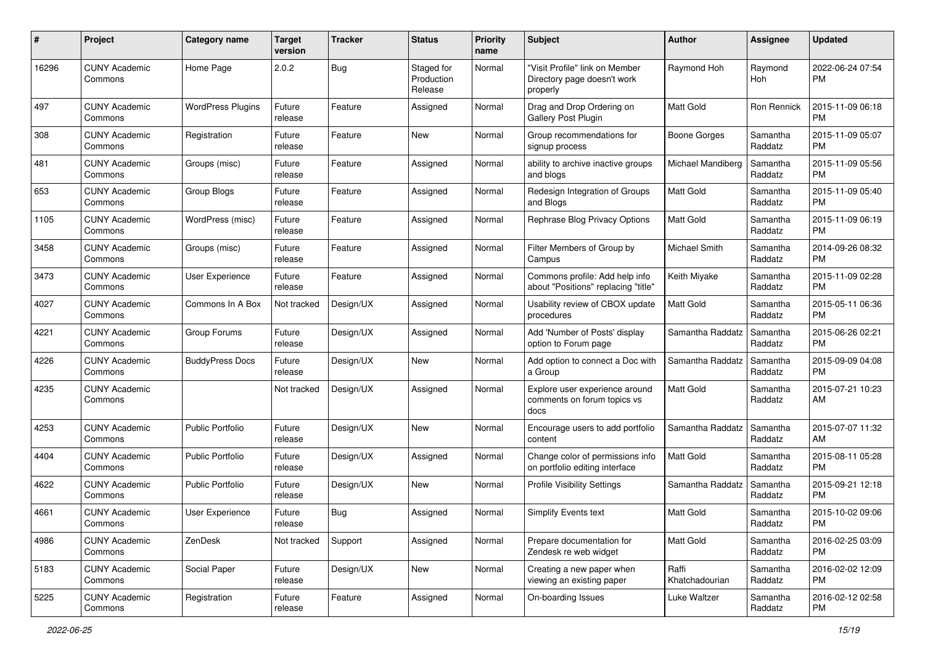| #     | Project                         | <b>Category name</b>     | <b>Target</b><br>version | <b>Tracker</b> | <b>Status</b>                       | <b>Priority</b><br>name | Subject                                                                   | Author                  | <b>Assignee</b>     | <b>Updated</b>                |
|-------|---------------------------------|--------------------------|--------------------------|----------------|-------------------------------------|-------------------------|---------------------------------------------------------------------------|-------------------------|---------------------|-------------------------------|
| 16296 | <b>CUNY Academic</b><br>Commons | Home Page                | 2.0.2                    | Bug            | Staged for<br>Production<br>Release | Normal                  | "Visit Profile" link on Member<br>Directory page doesn't work<br>properly | Raymond Hoh             | Raymond<br>Hoh      | 2022-06-24 07:54<br>PM        |
| 497   | <b>CUNY Academic</b><br>Commons | <b>WordPress Plugins</b> | Future<br>release        | Feature        | Assigned                            | Normal                  | Drag and Drop Ordering on<br><b>Gallery Post Plugin</b>                   | <b>Matt Gold</b>        | Ron Rennick         | 2015-11-09 06:18<br><b>PM</b> |
| 308   | <b>CUNY Academic</b><br>Commons | Registration             | Future<br>release        | Feature        | New                                 | Normal                  | Group recommendations for<br>signup process                               | <b>Boone Gorges</b>     | Samantha<br>Raddatz | 2015-11-09 05:07<br><b>PM</b> |
| 481   | <b>CUNY Academic</b><br>Commons | Groups (misc)            | Future<br>release        | Feature        | Assigned                            | Normal                  | ability to archive inactive groups<br>and blogs                           | Michael Mandiberg       | Samantha<br>Raddatz | 2015-11-09 05:56<br><b>PM</b> |
| 653   | <b>CUNY Academic</b><br>Commons | Group Blogs              | Future<br>release        | Feature        | Assigned                            | Normal                  | Redesign Integration of Groups<br>and Blogs                               | <b>Matt Gold</b>        | Samantha<br>Raddatz | 2015-11-09 05:40<br><b>PM</b> |
| 1105  | <b>CUNY Academic</b><br>Commons | WordPress (misc)         | Future<br>release        | Feature        | Assigned                            | Normal                  | Rephrase Blog Privacy Options                                             | Matt Gold               | Samantha<br>Raddatz | 2015-11-09 06:19<br><b>PM</b> |
| 3458  | <b>CUNY Academic</b><br>Commons | Groups (misc)            | Future<br>release        | Feature        | Assigned                            | Normal                  | Filter Members of Group by<br>Campus                                      | Michael Smith           | Samantha<br>Raddatz | 2014-09-26 08:32<br><b>PM</b> |
| 3473  | <b>CUNY Academic</b><br>Commons | User Experience          | Future<br>release        | Feature        | Assigned                            | Normal                  | Commons profile: Add help info<br>about "Positions" replacing "title"     | Keith Miyake            | Samantha<br>Raddatz | 2015-11-09 02:28<br><b>PM</b> |
| 4027  | <b>CUNY Academic</b><br>Commons | Commons In A Box         | Not tracked              | Design/UX      | Assigned                            | Normal                  | Usability review of CBOX update<br>procedures                             | <b>Matt Gold</b>        | Samantha<br>Raddatz | 2015-05-11 06:36<br><b>PM</b> |
| 4221  | <b>CUNY Academic</b><br>Commons | Group Forums             | Future<br>release        | Design/UX      | Assigned                            | Normal                  | Add 'Number of Posts' display<br>option to Forum page                     | Samantha Raddatz        | Samantha<br>Raddatz | 2015-06-26 02:21<br><b>PM</b> |
| 4226  | <b>CUNY Academic</b><br>Commons | <b>BuddyPress Docs</b>   | Future<br>release        | Design/UX      | New                                 | Normal                  | Add option to connect a Doc with<br>a Group                               | Samantha Raddatz        | Samantha<br>Raddatz | 2015-09-09 04:08<br><b>PM</b> |
| 4235  | <b>CUNY Academic</b><br>Commons |                          | Not tracked              | Design/UX      | Assigned                            | Normal                  | Explore user experience around<br>comments on forum topics vs<br>docs     | Matt Gold               | Samantha<br>Raddatz | 2015-07-21 10:23<br>AM        |
| 4253  | <b>CUNY Academic</b><br>Commons | Public Portfolio         | Future<br>release        | Design/UX      | New                                 | Normal                  | Encourage users to add portfolio<br>content                               | Samantha Raddatz        | Samantha<br>Raddatz | 2015-07-07 11:32<br>AM        |
| 4404  | <b>CUNY Academic</b><br>Commons | <b>Public Portfolio</b>  | Future<br>release        | Design/UX      | Assigned                            | Normal                  | Change color of permissions info<br>on portfolio editing interface        | <b>Matt Gold</b>        | Samantha<br>Raddatz | 2015-08-11 05:28<br><b>PM</b> |
| 4622  | <b>CUNY Academic</b><br>Commons | <b>Public Portfolio</b>  | Future<br>release        | Design/UX      | New                                 | Normal                  | <b>Profile Visibility Settings</b>                                        | Samantha Raddatz        | Samantha<br>Raddatz | 2015-09-21 12:18<br><b>PM</b> |
| 4661  | <b>CUNY Academic</b><br>Commons | User Experience          | Future<br>release        | Bug            | Assigned                            | Normal                  | Simplify Events text                                                      | Matt Gold               | Samantha<br>Raddatz | 2015-10-02 09:06<br>PM        |
| 4986  | <b>CUNY Academic</b><br>Commons | ZenDesk                  | Not tracked              | Support        | Assigned                            | Normal                  | Prepare documentation for<br>Zendesk re web widget                        | Matt Gold               | Samantha<br>Raddatz | 2016-02-25 03:09<br>PM        |
| 5183  | <b>CUNY Academic</b><br>Commons | Social Paper             | Future<br>release        | Design/UX      | New                                 | Normal                  | Creating a new paper when<br>viewing an existing paper                    | Raffi<br>Khatchadourian | Samantha<br>Raddatz | 2016-02-02 12:09<br><b>PM</b> |
| 5225  | <b>CUNY Academic</b><br>Commons | Registration             | Future<br>release        | Feature        | Assigned                            | Normal                  | On-boarding Issues                                                        | Luke Waltzer            | Samantha<br>Raddatz | 2016-02-12 02:58<br><b>PM</b> |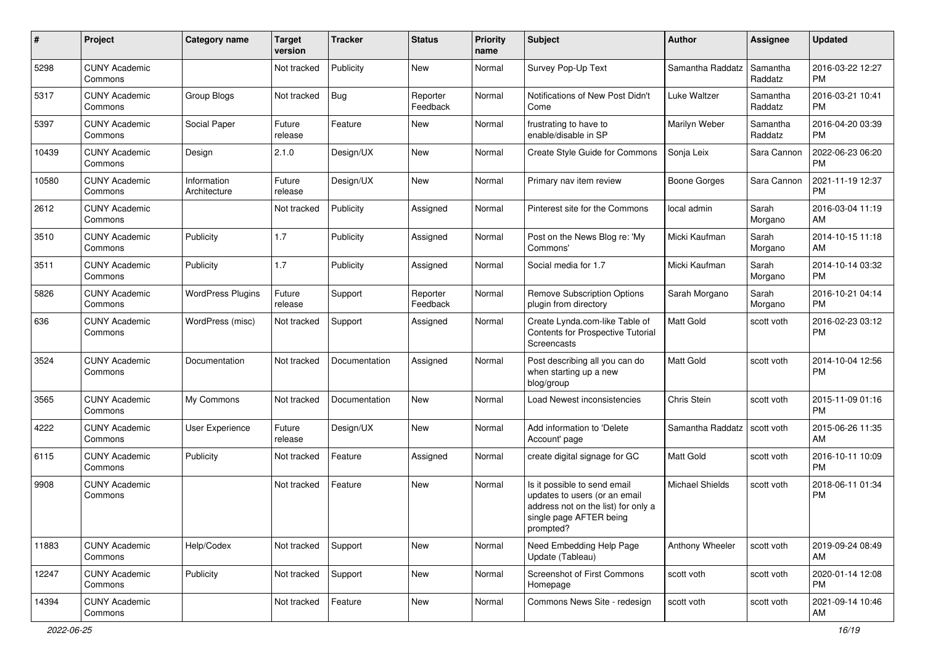| #     | Project                         | <b>Category name</b>        | <b>Target</b><br>version | <b>Tracker</b> | <b>Status</b>        | <b>Priority</b><br>name | <b>Subject</b>                                                                                                                               | Author                 | <b>Assignee</b>     | <b>Updated</b>                |
|-------|---------------------------------|-----------------------------|--------------------------|----------------|----------------------|-------------------------|----------------------------------------------------------------------------------------------------------------------------------------------|------------------------|---------------------|-------------------------------|
| 5298  | <b>CUNY Academic</b><br>Commons |                             | Not tracked              | Publicity      | <b>New</b>           | Normal                  | Survey Pop-Up Text                                                                                                                           | Samantha Raddatz       | Samantha<br>Raddatz | 2016-03-22 12:27<br><b>PM</b> |
| 5317  | <b>CUNY Academic</b><br>Commons | Group Blogs                 | Not tracked              | <b>Bug</b>     | Reporter<br>Feedback | Normal                  | Notifications of New Post Didn't<br>Come                                                                                                     | Luke Waltzer           | Samantha<br>Raddatz | 2016-03-21 10:41<br><b>PM</b> |
| 5397  | <b>CUNY Academic</b><br>Commons | Social Paper                | Future<br>release        | Feature        | New                  | Normal                  | frustrating to have to<br>enable/disable in SP                                                                                               | Marilyn Weber          | Samantha<br>Raddatz | 2016-04-20 03:39<br><b>PM</b> |
| 10439 | <b>CUNY Academic</b><br>Commons | Design                      | 2.1.0                    | Design/UX      | <b>New</b>           | Normal                  | Create Style Guide for Commons                                                                                                               | Sonja Leix             | Sara Cannon         | 2022-06-23 06:20<br><b>PM</b> |
| 10580 | <b>CUNY Academic</b><br>Commons | Information<br>Architecture | Future<br>release        | Design/UX      | <b>New</b>           | Normal                  | Primary nav item review                                                                                                                      | Boone Gorges           | Sara Cannon         | 2021-11-19 12:37<br>PM        |
| 2612  | <b>CUNY Academic</b><br>Commons |                             | Not tracked              | Publicity      | Assigned             | Normal                  | Pinterest site for the Commons                                                                                                               | local admin            | Sarah<br>Morgano    | 2016-03-04 11:19<br>AM        |
| 3510  | <b>CUNY Academic</b><br>Commons | Publicity                   | 1.7                      | Publicity      | Assigned             | Normal                  | Post on the News Blog re: 'My<br>Commons'                                                                                                    | Micki Kaufman          | Sarah<br>Morgano    | 2014-10-15 11:18<br>AM        |
| 3511  | <b>CUNY Academic</b><br>Commons | Publicity                   | 1.7                      | Publicity      | Assigned             | Normal                  | Social media for 1.7                                                                                                                         | Micki Kaufman          | Sarah<br>Morgano    | 2014-10-14 03:32<br><b>PM</b> |
| 5826  | <b>CUNY Academic</b><br>Commons | <b>WordPress Plugins</b>    | Future<br>release        | Support        | Reporter<br>Feedback | Normal                  | <b>Remove Subscription Options</b><br>plugin from directory                                                                                  | Sarah Morgano          | Sarah<br>Morgano    | 2016-10-21 04:14<br><b>PM</b> |
| 636   | <b>CUNY Academic</b><br>Commons | WordPress (misc)            | Not tracked              | Support        | Assigned             | Normal                  | Create Lynda.com-like Table of<br>Contents for Prospective Tutorial<br>Screencasts                                                           | Matt Gold              | scott voth          | 2016-02-23 03:12<br><b>PM</b> |
| 3524  | <b>CUNY Academic</b><br>Commons | Documentation               | Not tracked              | Documentation  | Assigned             | Normal                  | Post describing all you can do<br>when starting up a new<br>blog/group                                                                       | Matt Gold              | scott voth          | 2014-10-04 12:56<br><b>PM</b> |
| 3565  | <b>CUNY Academic</b><br>Commons | My Commons                  | Not tracked              | Documentation  | New                  | Normal                  | <b>Load Newest inconsistencies</b>                                                                                                           | Chris Stein            | scott voth          | 2015-11-09 01:16<br><b>PM</b> |
| 4222  | <b>CUNY Academic</b><br>Commons | User Experience             | Future<br>release        | Design/UX      | New                  | Normal                  | Add information to 'Delete<br>Account' page                                                                                                  | Samantha Raddatz       | scott voth          | 2015-06-26 11:35<br>AM        |
| 6115  | <b>CUNY Academic</b><br>Commons | Publicity                   | Not tracked              | Feature        | Assigned             | Normal                  | create digital signage for GC                                                                                                                | Matt Gold              | scott voth          | 2016-10-11 10:09<br><b>PM</b> |
| 9908  | <b>CUNY Academic</b><br>Commons |                             | Not tracked              | Feature        | New                  | Normal                  | Is it possible to send email<br>updates to users (or an email<br>address not on the list) for only a<br>single page AFTER being<br>prompted? | <b>Michael Shields</b> | scott voth          | 2018-06-11 01:34<br><b>PM</b> |
| 11883 | <b>CUNY Academic</b><br>Commons | Help/Codex                  | Not tracked              | Support        | New                  | Normal                  | Need Embedding Help Page<br>Update (Tableau)                                                                                                 | Anthony Wheeler        | scott voth          | 2019-09-24 08:49<br>AM        |
| 12247 | <b>CUNY Academic</b><br>Commons | Publicity                   | Not tracked              | Support        | New                  | Normal                  | Screenshot of First Commons<br>Homepage                                                                                                      | scott voth             | scott voth          | 2020-01-14 12:08<br><b>PM</b> |
| 14394 | <b>CUNY Academic</b><br>Commons |                             | Not tracked              | Feature        | New                  | Normal                  | Commons News Site - redesign                                                                                                                 | scott voth             | scott voth          | 2021-09-14 10:46<br>AM        |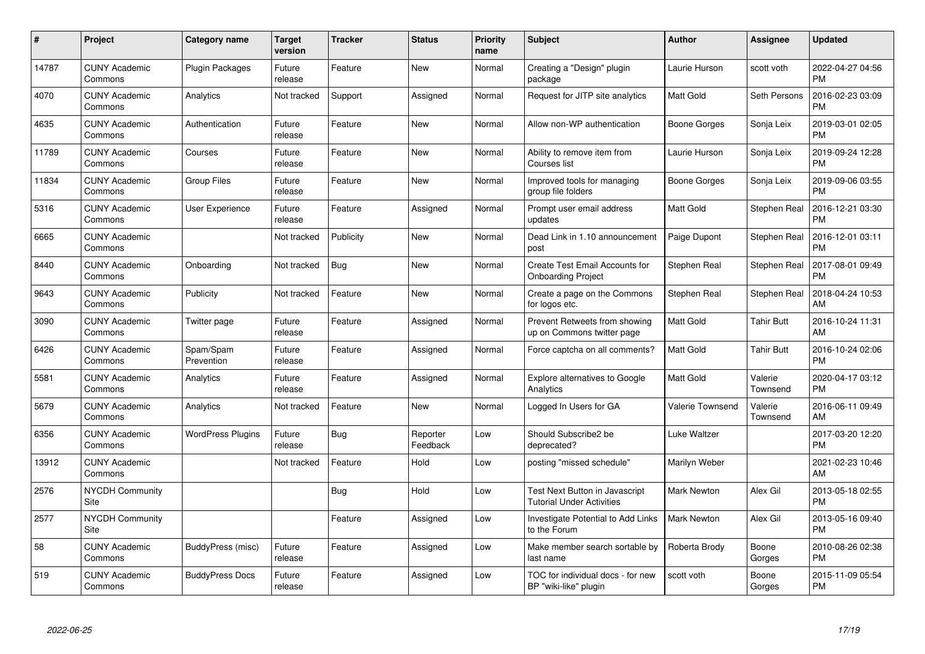| $\pmb{\#}$ | Project                         | <b>Category name</b>     | <b>Target</b><br>version | <b>Tracker</b> | <b>Status</b>        | <b>Priority</b><br>name | <b>Subject</b>                                                     | Author                  | <b>Assignee</b>     | <b>Updated</b>                |
|------------|---------------------------------|--------------------------|--------------------------|----------------|----------------------|-------------------------|--------------------------------------------------------------------|-------------------------|---------------------|-------------------------------|
| 14787      | <b>CUNY Academic</b><br>Commons | Plugin Packages          | Future<br>release        | Feature        | <b>New</b>           | Normal                  | Creating a "Design" plugin<br>package                              | Laurie Hurson           | scott voth          | 2022-04-27 04:56<br><b>PM</b> |
| 4070       | <b>CUNY Academic</b><br>Commons | Analytics                | Not tracked              | Support        | Assigned             | Normal                  | Request for JITP site analytics                                    | <b>Matt Gold</b>        | Seth Persons        | 2016-02-23 03:09<br><b>PM</b> |
| 4635       | <b>CUNY Academic</b><br>Commons | Authentication           | Future<br>release        | Feature        | <b>New</b>           | Normal                  | Allow non-WP authentication                                        | Boone Gorges            | Sonja Leix          | 2019-03-01 02:05<br><b>PM</b> |
| 11789      | <b>CUNY Academic</b><br>Commons | Courses                  | Future<br>release        | Feature        | <b>New</b>           | Normal                  | Ability to remove item from<br>Courses list                        | Laurie Hurson           | Sonja Leix          | 2019-09-24 12:28<br><b>PM</b> |
| 11834      | <b>CUNY Academic</b><br>Commons | <b>Group Files</b>       | Future<br>release        | Feature        | <b>New</b>           | Normal                  | Improved tools for managing<br>group file folders                  | Boone Gorges            | Sonja Leix          | 2019-09-06 03:55<br><b>PM</b> |
| 5316       | <b>CUNY Academic</b><br>Commons | <b>User Experience</b>   | Future<br>release        | Feature        | Assigned             | Normal                  | Prompt user email address<br>updates                               | Matt Gold               | Stephen Real        | 2016-12-21 03:30<br><b>PM</b> |
| 6665       | <b>CUNY Academic</b><br>Commons |                          | Not tracked              | Publicity      | <b>New</b>           | Normal                  | Dead Link in 1.10 announcement<br>post                             | Paige Dupont            | Stephen Real        | 2016-12-01 03:11<br><b>PM</b> |
| 8440       | <b>CUNY Academic</b><br>Commons | Onboarding               | Not tracked              | Bug            | <b>New</b>           | Normal                  | Create Test Email Accounts for<br><b>Onboarding Project</b>        | Stephen Real            | <b>Stephen Real</b> | 2017-08-01 09:49<br><b>PM</b> |
| 9643       | <b>CUNY Academic</b><br>Commons | Publicity                | Not tracked              | Feature        | <b>New</b>           | Normal                  | Create a page on the Commons<br>for logos etc.                     | Stephen Real            | Stephen Real        | 2018-04-24 10:53<br>AM        |
| 3090       | <b>CUNY Academic</b><br>Commons | Twitter page             | Future<br>release        | Feature        | Assigned             | Normal                  | Prevent Retweets from showing<br>up on Commons twitter page        | Matt Gold               | <b>Tahir Butt</b>   | 2016-10-24 11:31<br>AM        |
| 6426       | <b>CUNY Academic</b><br>Commons | Spam/Spam<br>Prevention  | Future<br>release        | Feature        | Assigned             | Normal                  | Force captcha on all comments?                                     | Matt Gold               | <b>Tahir Butt</b>   | 2016-10-24 02:06<br><b>PM</b> |
| 5581       | <b>CUNY Academic</b><br>Commons | Analytics                | Future<br>release        | Feature        | Assigned             | Normal                  | <b>Explore alternatives to Google</b><br>Analytics                 | <b>Matt Gold</b>        | Valerie<br>Townsend | 2020-04-17 03:12<br><b>PM</b> |
| 5679       | <b>CUNY Academic</b><br>Commons | Analytics                | Not tracked              | Feature        | New                  | Normal                  | Logged In Users for GA                                             | <b>Valerie Townsend</b> | Valerie<br>Townsend | 2016-06-11 09:49<br>AM        |
| 6356       | <b>CUNY Academic</b><br>Commons | <b>WordPress Plugins</b> | Future<br>release        | Bug            | Reporter<br>Feedback | Low                     | Should Subscribe2 be<br>deprecated?                                | Luke Waltzer            |                     | 2017-03-20 12:20<br><b>PM</b> |
| 13912      | <b>CUNY Academic</b><br>Commons |                          | Not tracked              | Feature        | Hold                 | Low                     | posting "missed schedule"                                          | Marilyn Weber           |                     | 2021-02-23 10:46<br>AM        |
| 2576       | <b>NYCDH Community</b><br>Site  |                          |                          | Bug            | Hold                 | Low                     | Test Next Button in Javascript<br><b>Tutorial Under Activities</b> | <b>Mark Newton</b>      | Alex Gil            | 2013-05-18 02:55<br><b>PM</b> |
| 2577       | <b>NYCDH Community</b><br>Site  |                          |                          | Feature        | Assigned             | Low                     | Investigate Potential to Add Links<br>to the Forum                 | <b>Mark Newton</b>      | Alex Gil            | 2013-05-16 09:40<br><b>PM</b> |
| 58         | <b>CUNY Academic</b><br>Commons | BuddyPress (misc)        | Future<br>release        | Feature        | Assigned             | Low                     | Make member search sortable by<br>last name                        | Roberta Brody           | Boone<br>Gorges     | 2010-08-26 02:38<br><b>PM</b> |
| 519        | CUNY Academic<br>Commons        | <b>BuddyPress Docs</b>   | Future<br>release        | Feature        | Assigned             | Low                     | TOC for individual docs - for new<br>BP "wiki-like" plugin         | scott voth              | Boone<br>Gorges     | 2015-11-09 05:54<br>PM        |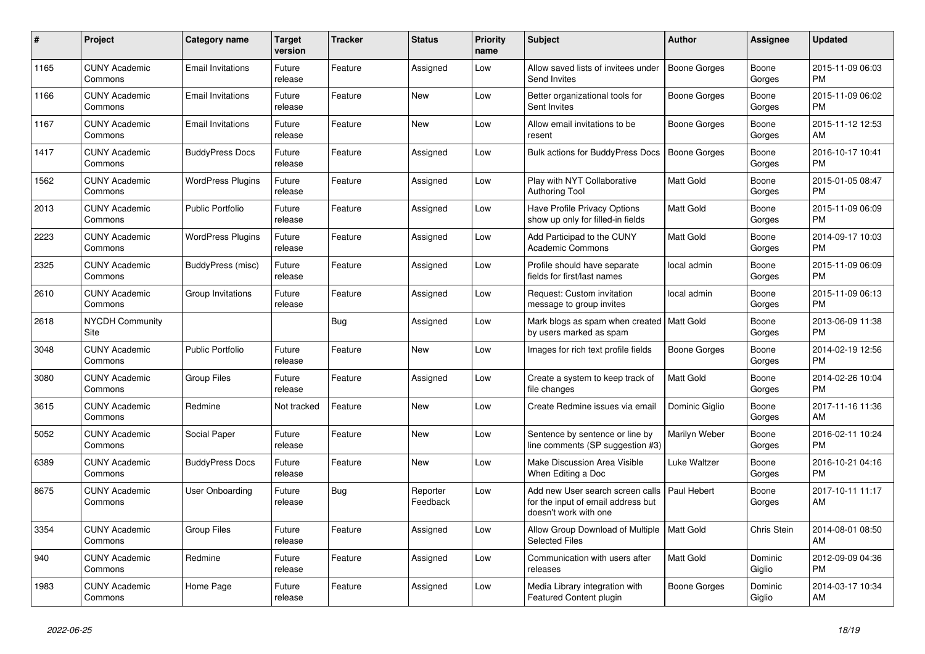| #    | Project                         | Category name            | Target<br>version | <b>Tracker</b> | <b>Status</b>        | <b>Priority</b><br>name | <b>Subject</b>                                                                                  | <b>Author</b>    | Assignee          | <b>Updated</b>                |
|------|---------------------------------|--------------------------|-------------------|----------------|----------------------|-------------------------|-------------------------------------------------------------------------------------------------|------------------|-------------------|-------------------------------|
| 1165 | <b>CUNY Academic</b><br>Commons | <b>Email Invitations</b> | Future<br>release | Feature        | Assigned             | Low                     | Allow saved lists of invitees under<br>Send Invites                                             | Boone Gorges     | Boone<br>Gorges   | 2015-11-09 06:03<br><b>PM</b> |
| 1166 | <b>CUNY Academic</b><br>Commons | <b>Email Invitations</b> | Future<br>release | Feature        | <b>New</b>           | Low                     | Better organizational tools for<br>Sent Invites                                                 | Boone Gorges     | Boone<br>Gorges   | 2015-11-09 06:02<br><b>PM</b> |
| 1167 | <b>CUNY Academic</b><br>Commons | <b>Email Invitations</b> | Future<br>release | Feature        | <b>New</b>           | Low                     | Allow email invitations to be<br>resent                                                         | Boone Gorges     | Boone<br>Gorges   | 2015-11-12 12:53<br>AM        |
| 1417 | <b>CUNY Academic</b><br>Commons | <b>BuddyPress Docs</b>   | Future<br>release | Feature        | Assigned             | Low                     | <b>Bulk actions for BuddyPress Docs</b>                                                         | Boone Gorges     | Boone<br>Gorges   | 2016-10-17 10:41<br><b>PM</b> |
| 1562 | <b>CUNY Academic</b><br>Commons | <b>WordPress Plugins</b> | Future<br>release | Feature        | Assigned             | Low                     | Play with NYT Collaborative<br><b>Authoring Tool</b>                                            | <b>Matt Gold</b> | Boone<br>Gorges   | 2015-01-05 08:47<br><b>PM</b> |
| 2013 | <b>CUNY Academic</b><br>Commons | <b>Public Portfolio</b>  | Future<br>release | Feature        | Assigned             | Low                     | Have Profile Privacy Options<br>show up only for filled-in fields                               | Matt Gold        | Boone<br>Gorges   | 2015-11-09 06:09<br><b>PM</b> |
| 2223 | <b>CUNY Academic</b><br>Commons | <b>WordPress Plugins</b> | Future<br>release | Feature        | Assigned             | Low                     | Add Participad to the CUNY<br><b>Academic Commons</b>                                           | <b>Matt Gold</b> | Boone<br>Gorges   | 2014-09-17 10:03<br><b>PM</b> |
| 2325 | <b>CUNY Academic</b><br>Commons | BuddyPress (misc)        | Future<br>release | Feature        | Assigned             | Low                     | Profile should have separate<br>fields for first/last names                                     | local admin      | Boone<br>Gorges   | 2015-11-09 06:09<br>PM        |
| 2610 | <b>CUNY Academic</b><br>Commons | Group Invitations        | Future<br>release | Feature        | Assigned             | Low                     | Request: Custom invitation<br>message to group invites                                          | local admin      | Boone<br>Gorges   | 2015-11-09 06:13<br><b>PM</b> |
| 2618 | <b>NYCDH Community</b><br>Site  |                          |                   | Bug            | Assigned             | Low                     | Mark blogs as spam when created<br>by users marked as spam                                      | Matt Gold        | Boone<br>Gorges   | 2013-06-09 11:38<br><b>PM</b> |
| 3048 | <b>CUNY Academic</b><br>Commons | <b>Public Portfolio</b>  | Future<br>release | Feature        | <b>New</b>           | Low                     | Images for rich text profile fields                                                             | Boone Gorges     | Boone<br>Gorges   | 2014-02-19 12:56<br><b>PM</b> |
| 3080 | <b>CUNY Academic</b><br>Commons | Group Files              | Future<br>release | Feature        | Assigned             | Low                     | Create a system to keep track of<br>file changes                                                | <b>Matt Gold</b> | Boone<br>Gorges   | 2014-02-26 10:04<br><b>PM</b> |
| 3615 | <b>CUNY Academic</b><br>Commons | Redmine                  | Not tracked       | Feature        | <b>New</b>           | Low                     | Create Redmine issues via email                                                                 | Dominic Giglio   | Boone<br>Gorges   | 2017-11-16 11:36<br>AM        |
| 5052 | <b>CUNY Academic</b><br>Commons | Social Paper             | Future<br>release | Feature        | New                  | Low                     | Sentence by sentence or line by<br>line comments (SP suggestion #3)                             | Marilyn Weber    | Boone<br>Gorges   | 2016-02-11 10:24<br><b>PM</b> |
| 6389 | <b>CUNY Academic</b><br>Commons | <b>BuddyPress Docs</b>   | Future<br>release | Feature        | <b>New</b>           | Low                     | Make Discussion Area Visible<br>When Editing a Doc                                              | Luke Waltzer     | Boone<br>Gorges   | 2016-10-21 04:16<br><b>PM</b> |
| 8675 | <b>CUNY Academic</b><br>Commons | <b>User Onboarding</b>   | Future<br>release | Bug            | Reporter<br>Feedback | Low                     | Add new User search screen calls<br>for the input of email address but<br>doesn't work with one | Paul Hebert      | Boone<br>Gorges   | 2017-10-11 11:17<br>AM        |
| 3354 | <b>CUNY Academic</b><br>Commons | Group Files              | Future<br>release | Feature        | Assigned             | Low                     | Allow Group Download of Multiple<br><b>Selected Files</b>                                       | <b>Matt Gold</b> | Chris Stein       | 2014-08-01 08:50<br>AM        |
| 940  | <b>CUNY Academic</b><br>Commons | Redmine                  | Future<br>release | Feature        | Assigned             | Low                     | Communication with users after<br>releases                                                      | Matt Gold        | Dominic<br>Giglio | 2012-09-09 04:36<br><b>PM</b> |
| 1983 | <b>CUNY Academic</b><br>Commons | Home Page                | Future<br>release | Feature        | Assigned             | Low                     | Media Library integration with<br>Featured Content plugin                                       | Boone Gorges     | Dominic<br>Giglio | 2014-03-17 10:34<br>AM        |